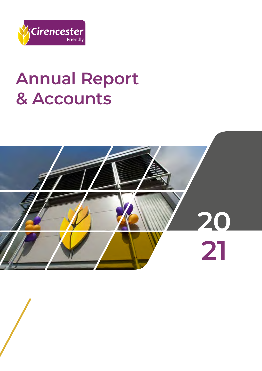

# **Annual Report & Accounts**

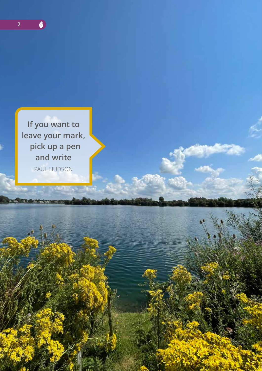



PAUL HUDSON

**COMPROM**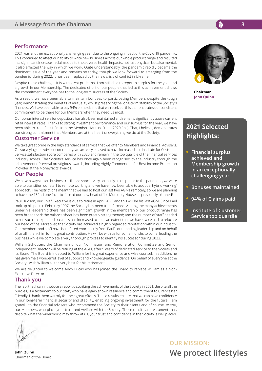#### **Performance**

2021 was another exceptionally challenging year due to the ongoing impact of the Covid-19 pandemic. This continued to affect our ability to write new business across our whole product range and resulted in a significant increase in claims due to the adverse health impacts, not just physical, but also mental. It also affected the way in which we work. Quite understandably, the pandemic rapidly became the dominant issue of the year and remains so today, though we look forward to emerging from the pandemic during 2022, it has been replaced by the new crisis of conflict in Ukraine.

Despite these challenges it is with great pride that I am still able to report a surplus for the year and a growth in our Membership. The dedicated effort of our people that led to this achievement shows the commitment everyone has to the long-term success of the Society.

As a result, we have been able to maintain bonuses to participating Members despite the tough year, demonstrating the benefits of mutuality whilst preserving the long-term stability of the Society's finances. We have been able to pay 94% of the claims that we received; this demonstrates our consistent commitment to be there for our Members when they need us most.

Our bonus interest rate for depositors has also been maintained and remains significantly above current retail interest rates. Thanks to strong investment performance and our surplus for the year, we have been able to transfer £1.2m into the Members Mutual Fund (2020 £nil). That, I believe, demonstrates our strong commitment that Members are at the heart of everything we do at the Society.

#### **Customer Service**

We take great pride in the high standards of service that we offer to Members and Financial Advisers. On surveying our Adviser community, we are very pleased to have increased our Institute for Customer Service satisfaction score compared with 2020 and remain in the top quartile of the financial services industry scores. The Society's service has once again been recognised by the industry through the achievement of several prestigious awards, including Highly Commended for Best Income Protection Provider at the Moneyfacts awards.

#### **Our People**

We have always taken business resilience shocks very seriously. In response to the pandemic, we were able to transition our staff to remote working and we have now been able to adopt a 'hybrid working' approach. The restrictions meant that we had to host our last two AGMs remotely, so we are planning to have the 132nd one face-to-face at our new head office Mutuality House as previously planned!

Paul Hudson, our Chief Executive is due to retire in April 2023 and this will be his last AGM. Since Paul took up his post in February 1997 the Society has been transformed. Among the many achievements under his leadership there has been significant growth in the membership; our product range has been broadened; the balance sheet has been greatly strengthened; and the number of staff needed to run such an expanded business has increased to such an extent that we have twice had to relocate our head office. Moreover, the Society has achieved a highly regarded reputation within our industry. Our members and staff have benefitted enormously from Paul's outstanding leadership and on behalf of us all I thank him for his great contribution. He will be with us for some months to come, leading the business while we complete a very thorough process to identify his successor during 2022.

William Schouten, the Chairman of our Nomination and Remuneration Committee and Senior Independent Director will be retiring at the AGM, after 9 years of dedicated service to the Society and its Board. The Board is indebted to William for his great experience and wise counsel; in addition, he has given me a wonderful level of support and knowledgeable guidance. On behalf of everyone at the Society I wish William all the very best for his retirement.

We are delighted to welcome Andy Lucas who has joined the Board to replace William as a Non-Executive Director.

#### **Thank you**

The fact that I can introduce a report describing the achievements of the Society in 2021, despite all the hurdles, is a testament to our staff, who have again shown resilience and commitment to Cirencester Friendly. I thank them warmly for their great efforts. These results ensure that we can have confidence in our long-term financial security and stability, enabling ongoing investment for the future. I am grateful to the financial advisers who recommend the Society to their clients and of course, to you, our Members, who place your trust and welfare with the Society. These results are testament that, despite what the wider world may throw at us, your trust and confidence in the Society is well placed.

**Chairman John Quinn** 

# **2021 Selected Highlights:**

- **Financial surplus achieved and Membership growth in an exceptionally challenging year**
- **Bonuses maintained**
- **94% of Claims paid**
- **Institute of Customer Service top quartile**

**OUR MISSION: We protect lifestyles** 

**John Quinn** Chairman of the Board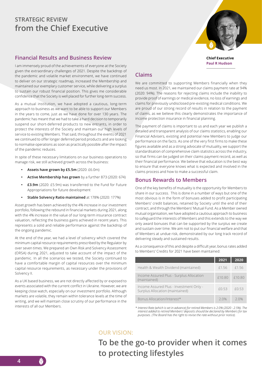# **STRATEGIC REVIEW from the Chief Executive**

### **Financial Results and Business Review**

I am immensely proud of the achievements of everyone at the Society given the extraordinary challenges of 2021. Despite the backdrop of the pandemic and volatile market environment, we have continued to deliver on our strategic roadmap, increased the Membership and maintained our exemplary customer service, while delivering a surplus to sustain our robust financial position. This gives me considerable confidence that the Society is well placed for further long-term success.

As a mutual institution, we have adopted a cautious, long-term approach to business as we want to be able to support our Members in the years to come, just as we have done for over 130 years. The pandemic has meant that we had to take a hard decision to temporarily suspend our short-deferred products to new entrants, in order to protect the interests of the Society and maintain our high levels of service to existing Members. That said, throughout the events of 2021 we continued to offer longer deferred period products and are looking to normalise operations as soon as practically possible after the impact of the pandemic reduces.

In spite of these necessary limitations on our business operations to manage risk, we still achieved growth across the business:

- **• Assets have grown by £5.5m** (2020: £6.0m)
- **• Active Membership has grown** by a further 873 (2020: 674)
- **• £3.9m** (2020: £5.9m) was transferred to the Fund for Future Appropriations for future development
- **• Stable Solvency Ratio maintained** at 178% (2020: 177%)

Asset growth has been achieved by the 4% increase in our investment portfolio, following the rebound in financial markets during 2021, along with the 4% increase in the value of our long-term insurance contract valuation, reflecting the business gains achieved in recent years. This represents a solid and reliable performance against the backdrop of the ongoing pandemic.

At the end of the year, we had a level of solvency which covered the minimum capital resource requirements prescribed by the Regulator by over seven times. We prepared an Own Risk and Solvency Assessment (ORSA) during 2021, adjusted to take account of the impact of the pandemic. In all the scenarios we tested, the Society continued to have a comfortable margin of capital resources over the minimum capital resource requirements, as necessary under the provisions of Solvency II.

As a UK based business, we are not directly affected by or exposed to events associated with the current conflict in Ukraine. However, we are keeping close watch, especially on our investment portfolio. Although markets are volatile, they remain within tolerance levels at the time of writing, and we will maintain close scrutiny of our performance in the interests of all our Members.

# **Claims**

We are committed to supporting Members financially when they need us most. In 2021, we maintained our claims payment rate at 94% (2020: 94%). The reasons for rejecting claims include the inability to provide proof of earnings or medical evidence, no loss of earnings and claims for previously undisclosed pre-existing medical conditions. We are proud of our strong record of results in relation to the payment of claims, as we believe this clearly demonstrates the importance of income protection insurance in financial planning.

The payment of claims is important to us and each year we publish a detailed and transparent analysis of our claims statistics, enabling our Financial Advisers, existing and potential new Members to judge our performance on the facts. As one of the very first firms to make these figures available and as a strong advocate of mutuality, we support the standardisation of comprehensive claim statistics across the industry, so that firms can be judged on their claims payment record, as well as their financial performance. We believe that education is the best way to ensure that everyone knows what is expected and involved in the claims process and how to make a successful claim.

#### **Bonus Rewards to Members**

One of the key benefits of mutuality is the opportunity for Members to share in our success. This is done in a number of ways but one of the most obvious is in the form of bonuses added to profit participating Members' credit balances, retained by Society until the end of their contract, and through the Members' Mutual Fund. As a Member owned mutual organisation, we have adopted a cautious approach to business to safeguard the interests of Members and this extends to the way we only award bonuses that can be supported by the surplus we create and sustain over time. We aim not to put our financial welfare and that of Members at undue risk, demonstrated by our long track record of delivering steady and sustained results.

As a consequence of this and despite a difficult year, bonus rates added to Members' Credits for 2021 have been maintained:

|                                                                            | 2021   | 2020   |
|----------------------------------------------------------------------------|--------|--------|
| Health & Wealth Dividend (maintained)                                      | £1.56  | £1.56  |
| Income Assured Plus - Surplus Allocation<br>(maintained)                   | £10.80 | £10.80 |
| Income Assured Plus - Investment Only -<br>Surplus Allocation (maintained) | £0.53  | f0.53  |
| Bonus Allocation/Interest*                                                 | 20%    | 20%    |

*\* Interest Rate (which is set in advance) for retired Members is 2.0% (2020 - 2.5%). The interest added to retired Members' deposits should be declared by Members for tax purposes. (The Board has the right to revise the rate without prior notice).*

# **OUR VISION:**

**To be the go-to provider when it comes to protecting lifestyles**



**Paul R Hudson**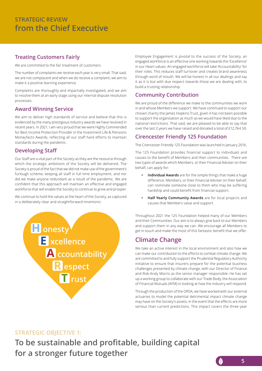# **Treating Customers Fairly**

We are committed to the fair treatment of customers.

The number of complaints we receive each year is very small. That said, we are not complacent and when we do receive a complaint, we aim to make it a positive learning experience.

Complaints are thoroughly and impartially investigated, and we aim to resolve them at an early stage using our internal dispute resolution processes.

### **Award Winning Service**

We aim to deliver high standards of service and believe that this is evidenced by the many prestigious industry awards we have received in recent years. In 2021, I am very proud that we were Highly Commended for Best Income Protection Provider in the Investment Life & Pensions Moneyfacts Awards, reflecting all our staff hard efforts to maintain standards during the pandemic.

# **Developing Staff**

Our Staff are a vital part of the Society as they are the resource through which the strategic ambitions of the Society will be delivered. The Society is proud of the fact that we did not make use of the government's furlough scheme, keeping all staff in full time employment, and nor did we make anyone redundant as a result of the pandemic. We are confident that this approach will maintain an effective and engaged workforce that will enable the Society to continue to grow and prosper.

We continue to hold the values at the heart of the Society, as captured in a deliberately clear and straightforward mnemonic:



Employee Engagement is pivotal to the success of the Society, an engaged workforce is an effective one working towards the 'Excellence' in our Heart values. An engaged workforce will take 'Accountability' for their roles. This reduces staff turnover and creates brand awareness through word of mouth. We will be honest in all our dealings and say it as it is but with due respect towards those we are dealing with, to build a trusting relationship.

# **Community Contribution**

We are proud of the difference we make to the communities we work in and whose Members we support. We have continued to support our chosen charity the James Hopkins Trust, given it has not been possible to support the organisation as much as we would have liked due to the national restrictions. That said, we are pleased to be able to say that over the last 2 years we have raised and donated a total of £12,764.50.

# **Cirencester Friendly 125 Foundation**

The Cirencester Friendly 125 Foundation was launched in January 2016.

The 125 Foundation provides financial support to individuals and causes to the benefit of Members and their communities. There are two types of awards which Members, or their Financial Adviser on their behalf, can apply for:

- **• Individual Awards** are for the simple things that make a huge difference. Members, or their Financial Adviser on their behalf, can nominate someone close to them who may be suffering hardship and could benefit from financial support.
- **• Half Yearly Community Awards** are for local projects and causes that Members value and support.

Throughout 2021 the 125 Foundation helped many of our Members and their Communities. Our aim is to always give back to our Members and support them in any way we can. We encourage all Members to get in touch and make the most of this fantastic benefit that we offer.

# **Climate Change**

We take an active interest in the local environment and also how we can make our contribution to the efforts to combat climate change. We are committed to and fully support the Prudential Regulatory Authority initiative to ensure that insurers prepare for the potential business challenges presented by climate change, with our Director of Finance and Risk Andy Morris as the senior manager responsible. He has set up a working group to collaborate with our Trade Body, the Association of Financial Mutuals (AFM) in looking at how the industry will respond.

Through the production of the ORSA, we have worked with our external actuaries to model the potential detrimental impact climate change may have on the Society's assets, in the event that the effects are more serious than current predictions. This impact covers the three-year

### **STRATEGIC OBJECTIVE 1:**

**To be sustainable and profitable, building capital for a stronger future together**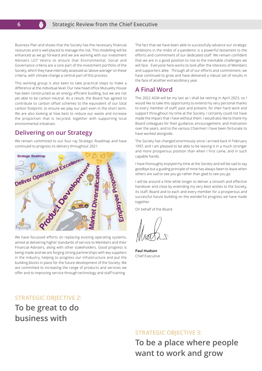Business Plan and shows that the Society has the necessary financial resources and is well placed to manage the risk. This modelling will be enhanced as we go forward and we are working with our investment Advisers LGT Vestra to ensure that Environmental, Social and Governance criteria are a core part of the investment portfolio of the Society, which they have internally assessed as 'above average' on these criteria, with climate change a central part of this process.

This working group is also keen to take practical steps to make a difference at the individual level. Our new head office Mutuality House has been constructed as an energy efficient building, but we are not yet able to be carbon neutral. As a result, the Board has agreed to contribute to carbon offset schemes to the equivalent of our total carbon footprint, to ensure we play our part even in the short term. We are also looking at how best to reduce our waste and increase the proportion that is recycled, together with supporting local environmental initiatives.

# **Delivering on our Strategy**

We remain committed to our four ray Strategic Roadmap and have continued to progress its delivery throughout 2021:



We have focussed efforts on replacing existing operating systems, aimed at delivering higher standards of service to Members and their Financial Advisers, along with other stakeholders. Good progress is being made and we are forging strong partnerships with key suppliers in the industry, helping to progress our infrastructure and put the building blocks in place for the future development of the Society. We are committed to increasing the range of products and services we offer and to improving service through technology and staff training.

The fact that we have been able to successfully advance our strategic ambitions in the midst of a pandemic is a powerful testament to the efforts and commitment of our dedicated staff. We remain confident that we are in a good position to rise to the inevitable challenges we will face. Everyone here works to look after the interests of Members and supporters alike. Through all of our efforts and commitment, we have continued to grow and have delivered a robust set of results in the face of another extraordinary year.

# **A Final Word**

The 2022 AGM will be my last as I shall be retiring in April 2023, so I would like to take this opportunity to extend my very personal thanks to every member of staff, past and present, for their hard work and support throughout my time at the Society. I certainly could not have made the impact that I have without them. I would also like to thank my Board colleagues for their guidance, encouragement, and motivation over the years, and to the various Chairmen I have been fortunate to have worked alongside.

The Society has changed enormously since I arrived back in February 1997, and I am pleased to be able to be leaving it in a much stronger and more prosperous position than when I first came, and in such capable hands.

I have thoroughly enjoyed my time at the Society and will be sad to say goodbye but a guiding principle of mine has always been to leave when others are sad to see you go rather than glad to see you go.

I will be around a little while longer to deliver a smooth and effective handover and close by extending my very best wishes to the Society, its staff, Board and to each and every member for a prosperous and successful future building on the wonderful progress we have made together.

On behalf of the Board

**Paul Hudson** Chief Executive

### **STRATEGIC OBJECTIVE 2:**

**To be great to do business with**

# **STRATEGIC OBJECTIVE 3:**

**To be a place where people want to work and grow**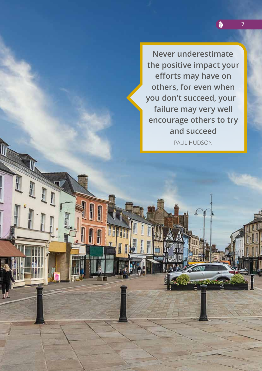**Never underestimate the positive impact your efforts may have on others, for even when you don't succeed, your failure may very well encourage others to try and succeed**

**7**

V

PAUL HUDSON

ii li

而用

HH

丽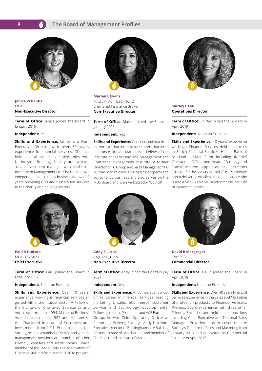#### **The Board of Management Profiles**



**Janice W Banks MRA Non-Executive Director**

**Term of Office:** lanice joined the Board in January 2016

#### **Independent:** Yes

**Skills and Experience:** Janice is a Non-Executive Director with over 30 years' experience in financial services. She has held several senior executive roles with Nationwide Building Society and worked as an investment manager with Matheson Investment Management Ltd. She ran her own independent consultancy business for over 10 years providing CEO and turnaround services to the charity and housing sectors.



**Paul R Hudson**  MBA FCG MCSI **Chief Executive**

**Term of Office:** Paul joined the Board in February 1997

#### **Independent:** No as an Executive

**Skills and Experience:** Over 40 years' experience working in financial services all gained within the mutual sector. A Fellow of the Institute of Chartered Secretaries and Administrators since 1994, Master of Business Administration since 1997 and Member of the Chartered Institute of Securities and Investments from 2011. Prior to joining the Society, he held a number of senior and general management positions at a number of other Friendly Societies and Trade Bodies. Board member of the Trade Body, the Association of Financial Mutuals from March 2016 to present.



**Marian L Evans**  FInstLM. ACII. BSC (Hons) Chartered Insurance Broker **Non-Executive Director**

**Term of Office:** Marian joined the Board in January 2016

#### **Independent:** Yes

**Skills and Experience: Qualified and practiced** as both a Chartered Insurer and Chartered Insurance Broker, Marian is a Fellow of the Institute of Leadership and Management and Chartered Management Institute. A former Director of TC Group and Sales Manager at NFU Mutual, Marian owns a successful property and consultancy business and also serves on the MBS Board and is an Ambassador WoB UK.



**Shirley E Fell Operations Director**

**Term of Office:** Shirley joined the Society in April 2019

#### **Independent:** No as an Executive

**Skills and Experience:** 40 years' experience working in Financial Services. Held senior roles in Zurich Financial Services, Halifax Bank of Scotland and MetLife Inc. including UK Chief Operations Officer and Head of Strategy and Transformation. Appointed as Operations Director for the Society in April 2019. Passionate about delivering excellent customer service, she is also a Non-Executive Director for the Institute of Customer Service.



**Andy S Lucas**  BA(Hons), DipM **Non-Executive Director**

**Term of Office:** Andy joined the Board in July 2021

#### **Independent:** Yes

**Skills and Experience:** Andy has spent most of his career in financial services, leading marketing & sales, eCommerce, customer service and technology developments. Following roles at Prudential and ACE European Group, he was Chief Operating Officer at Cambridge Building Society. Andy is a Non-Executive Director of Buckinghamshire Building Society, trustee of two charities and member of The Chartered Institute of Marketing.



**David R Macgregor**  Cert PFS **Commercial Director**

**Term of Office:** David joined the Board in April 2018

**Independent:** No as an Executive

**Skills and Experience: Over 40 years Financial** Services experience in the Sales and Marketing of protection products to Financial Advisers. Previous Board experience with three other Friendly Societies and held senior positions including Chief Executive and National Sales Manager. Provided interim cover for the Society's Director of Sales and Marketing from January 2015 and appointed as Commercial Director in April 2017.

**8**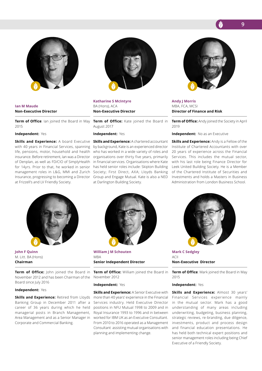

#### **Ian M Maude Non-Executive Director**

**Term of Office**: Ian joined the Board in May 2015

#### **Independent:** Yes

**Skills and Experience:** A board Executive with 40 years in Financial Services, spanning life, pensions, motor, household and health insurance. Before retirement, Ian was a Director of Denplan, as well as FD/CIO of SimplyHealth for 14yrs. Prior to that, he worked in senior management roles in L&G, MMI and Zurich Insurance, progressing to becoming a Director at Frizzell's and LV Friendly Society.



**John F Quinn**  M. Litt. BA (Hons) **Chairman**

**Term of Office:** John joined the Board in November 2012 and has been Chairman of the Board since July 2016

#### **Independent:** Yes

**Skills and Experience: Retired from Lloyds** Banking Group in December 2011 after a career of 36 years during which he held managerial posts in Branch Management, Area Management and as a Senior Manager in Corporate and Commercial Banking.



**Katharine S McIntyre**  BA (Hons), ACA **Non-Executive Director**

**Term of Office:** Kate joined the Board in August 2017

#### **Independent:** Yes

**Skills and Experience:** A chartered accountant by background, Kate is an experienced director who has worked in a wide variety of roles and organisations over thirty five years, primarily in financial services. Organisations where Kate has held senior roles include: Skipton Building Society; First Direct, AXA; Lloyds Banking Group and Engage Mutual. Kate is also a NED at Darlington Building Society.



**Andy J Morris**  MBA, FCA, MCSI **Director of Finance and Risk**

**Term of Office:** Andy joined the Society in April 2019

**Independent:** No as an Executive

**Skills and Experience:** Andy is a Fellow of the Institute of Chartered Accountants with over 20 years of experience across the Financial Services. This includes the mutual sector, with his last role being Finance Director for Leek United Building Society. He is a Member of the Chartered Institute of Securities and Investments and holds a Masters in Business Administration from London Business School.



**William J M Schouten** MBA **Senior Independent Director**

**Term of Office:** William joined the Board in November 2012

#### **Independent:** Yes

**Skills and Experience:** A Senior Executive with more than 40 years' experience in the Financial Services industry. Held Executive Director positions in NFU Mutual 1998 to 2009 and in Royal Insurance 1993 to 1996 and in between worked for IBM UK as an Executive Consultant. From 2010 to 2016 operated as a Management Consultant assisting mutual organisations with planning and implementing change.



**Mark C Sedgley**   $ACII$ **Non-Executive Director**

**Term of Office**: Mark joined the Board in May 2015

#### **Independent:** Yes

**Skills and Experience:** Almost 30 years' Financial Services experience mainly in the mutual sector. Mark has a good understanding of many areas including underwriting, budgeting, business planning, strategic reviews, re-branding, due diligence, investments, product and process design and financial education presentations. He has held both technical expert positions and senior management roles including being Chief Executive of a Friendly Society.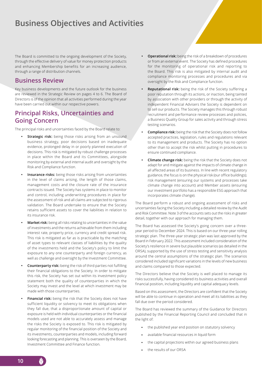# **Business Objectives and Activities**

The Board is committed to the ongoing development of the Society, through the effective delivery of value for money protection products and enhancing Membership benefits for an increasing audience, through a range of distribution channels.

# **Business Review**

Key business developments and the future outlook for the business are reviewed in the Strategic Review on pages 4 to 6. The Board of Directors is of the opinion that all activities performed during the year have been carried out within our respective powers.

# **Principal Risks, Uncertainties and Going Concern**

The principal risks and uncertainties faced by the Board relate to:

- **Strategic risk:** being those risks arising from an unsound business strategy, poor decisions based on inadequate evidence, prolonged delay in or poorly planned execution of decisions. This risk is mitigated by robust challenge processes in place within the Board and its Committees, alongside monitoring by external and internal audit and oversight by the Risk and Compliance function.
- **• Insurance risks:** being those risks arising from uncertainties in the level of claims arising, the length of those claims, management costs and the closure rate of the insurance contracts issued. The Society has systems in place to monitor and control, including underwriting procedures in place for the assessment of risk and all claims are subjected to rigorous validation. The Board undertake to ensure that the Society retains sufficient assets to cover the liabilities in relation to its insurance risk.
- **• Market risk:** being all risks relating to uncertainties in the value of investments and the returns achievable from them including interest rate, property price, currency and credit spread risk. This risk is mitigated as far as is practicable by the matching of asset types to relevant classes of liabilities by the quality of the investments held and the Society's policy to limit the exposure to any one counterparty and foreign currency, as well as challenge and oversight by the Investment Committee.
- **• Counterparty risk:** being the risk of third parties not fulfilling their financial obligations to the Society. In order to mitigate this risk, the Society has set out within its investment policy statement both the quality of counterparties in which the Society may invest and the level at which investment may be made with those counterparties.
- **• Financial risk:** being the risk that the Society does not have sufficient liquidity or solvency to meet its obligations when they fall due, that a disproportionate amount of capital or exposure is held with individual counterparties or the financial models used are not able to accurately assess and manage the risks the Society is exposed to. This risk is mitigated by regular monitoring of the financial position of the Society and its investments, counterparties and models, including forward looking forecasting and planning. This is overseen by the Board, Investment Committee and Finance function.
- **• Operational risk:** being the risk of a breakdown of procedures or from an external event. The Society has defined procedures for the monitoring of operational risk and reporting to the Board. This risk is also mitigated by internal audit and compliance monitoring processes and procedures and via oversight by the Risk and Compliance function.
- **• Reputational risk:** being the risk of the Society suffering a poor reputation through its actions, or inaction, being tainted by association with other providers or through the activity of independent Financial Advisers the Society is dependent on to sell our products. The Society manages this through robust recruitment and performance review processes and policies, a Business Quality Group for sales activity and through stress testing scenarios.
- **• Compliance risk:** being the risk that the Society does not follow accepted practices, legislation, rules and regulations relevant to its management and products. The Society has no option other than to accept the risk whilst putting in procedures to ensure continued compliance.
- **• Climate change risk:** being the risk that the Society does not adapt for and mitigate against the impacts of climate change in all affected areas of its business. In line with recent regulatory guidance, the focus is on the physical risk (our office buildings); risk management (ensuring our systems and processes take climate change into account) and Member assets (ensuring our investment portfolio has a responsible ESG approach that incorporates climate change).

The Board perform a robust and ongoing assessment of risks and uncertainties facing the Society including a detailed review by the Audit and Risk Committee. Note 3 of the accounts sets out the risks in greater detail, together with our approach for managing them.

The Board has assessed the Society's going concern over a threeyear period to December 2024. This is based on our three-year rolling strategic plan. The three-year strategic plan was last approved by the Board in February 2022. This assessment included consideration of the Society's resilience in severe but plausible scenarios (as detailed in the ORSA), supported by the use of stress testing and sensitivity analysis around the central assumptions of the strategic plan. The scenarios considered included significant variations in the levels of new business and claims compared to those expected.

The Directors believe that the Society is well placed to manage its risks successfully, having considered its business activities and overall financial position, including liquidity and capital adequacy levels.

Based on this assessment, the Directors are confident that the Society will be able to continue in operation and meet all its liabilities as they fall due over the period considered.

The Board has reviewed the summary of the Guidance for Directors published by the Financial Reporting Council and concluded that in the light of:

- the published year end position on statutory solvency
- available financial resources in liquid form
- the capital projections within our agreed business plans
- the results of our ORSA

**10**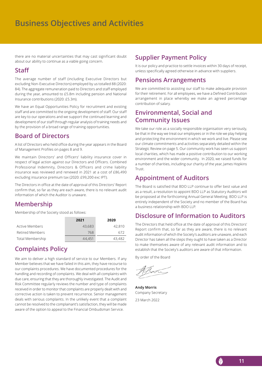# **Business Objectives and Activities**

there are no material uncertainties that may cast significant doubt about our ability to continue as a viable going concern.

# **Staff**

The average number of staff (including Executive Directors but excluding Non-Executive Directors) employed by us totalled 88 (2020: 84). The aggregate remuneration paid to Directors and staff employed during the year, amounted to £5.8m including pension and National Insurance contributions (2020: £5.3m).

We have an Equal Opportunities Policy for recruitment and existing staff and are committed to the ongoing development of staff. Our staff are key to our operations and we support the continued learning and development of our staff through regular analysis of training needs and by the provision of a broad range of training opportunities.

# **Board of Directors**

A list of Directors who held office during the year appears in the Board of Management Profiles on pages 8 and 9.

We maintain Directors' and Officers' liability insurance cover in respect of legal action against our Directors and Officers. Combined Professional Indemnity, Directors & Officers and crime liability insurance was reviewed and renewed in 2021 at a cost of £86,490 excluding insurance premium tax (2020: £99,200 exc IPT).

The Directors in office at the date of approval of this Directors' Report confirm that, so far as they are each aware, there is no relevant audit information of which the Auditor is unaware.

# **Membership**

Membership of the Society stood as follows:

|                       | 2021   | 2020   |
|-----------------------|--------|--------|
| <b>Active Members</b> | 43,683 | 42,810 |
| Retired Members       | 768    | 672    |
| Total Membership      | 44,451 | 43,482 |

# **Complaints Policy**

We aim to deliver a high standard of service to our Members. If any Member believes that we have failed in this aim, they have recourse to our complaints procedures. We have documented procedures for the handling and recording of complaints. We deal with all complaints with due care, ensuring that they are thoroughly investigated. The Audit and Risk Committee regularly reviews the number and type of complaints received in order to monitor that complaints are properly dealt with and corrective action is taken to prevent recurrence. Senior management deals with serious complaints. In the unlikely event that a complaint cannot be resolved to the complainant's satisfaction, they will be made aware of the option to appeal to the Financial Ombudsman Service.

# **Supplier Payment Policy**

It is our policy and practice to settle invoices within 30 days of receipt, unless specifically agreed otherwise in advance with suppliers.

# **Pensions Arrangements**

We are committed to assisting our staff to make adequate provision for their retirement. For all employees, we have a Defined Contribution arrangement in place whereby we make an agreed percentage contribution of salary.

# **Environmental, Social and Community Issues**

We take our role as a socially responsible organisation very seriously, be that in the way we treat our employees or in the role we play helping and protecting the environment in which we work and live. Please see our climate commitments and activities separately detailed within the Strategic Review on page 5. Our community work has seen us support local charities, which has made a positive contribution to our working environment and the wider community. In 2020, we raised funds for a number of charities, including our charity of the year, James Hopkins **Trust.** 

# **Appointment of Auditors**

The Board is satisfied that BDO LLP continue to offer best value and as a result, a resolution to appoint BDO LLP as Statutory Auditors will be proposed at the forthcoming Annual General Meeting. BDO LLP is entirely independent of the Society and no member of the Board has a business relationship with BDO LLP.

# **Disclosure of Information to Auditors**

The Directors that held office at the date of approval of this Directors' Report confirm that, so far as they are aware, there is no relevant audit information of which the Society's auditors are unaware, and each Director has taken all the steps they ought to have taken as a Director to make themselves aware of any relevant audit information and to establish that the Society's auditors are aware of that information.

By order of the Board

**Andy Morris** Company Secretary 23 March 2022

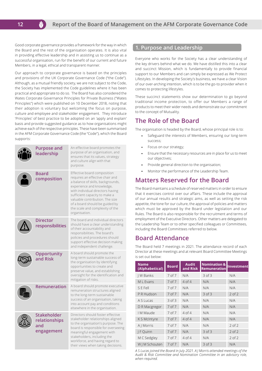Good corporate governance provides a framework for the way in which the Board and the rest of the organisation operates. It is also vital in providing effective leadership and in assisting us to continue as a successful organisation, run for the benefit of our current and future Members, in a legal, ethical and transparent manner.

**12**

Our approach to corporate governance is based on the principles and provisions of the UK Corporate Governance Code ("the Code"). Although, as a mutual friendly society, we are not subject to the Code, the Society has implemented the Code guidelines where it has been practical and appropriate to do so. The Board has also considered the Wates Corporate Governance Principles for Private Business ("Wates Principles") which were published on 10 December 2018, noting that their adoption is voluntary but welcoming the focus on purpose, culture and employee and stakeholder engagement. They introduce 'Principles' of best practice to be adopted on an 'apply and explain' basis and provide suggested guidance as to how organisations might achieve each of the respective principles. These have been summarised in the AFM Corporate Governance Code (the "Code"), which the Board supports:

| <b>Purpose and</b><br>leadership                         | An effective board promotes the<br>purpose of an organisation, and<br>ensures that its values, strategy<br>and culture align with that<br>purpose.                                                                                                                                                                             |
|----------------------------------------------------------|--------------------------------------------------------------------------------------------------------------------------------------------------------------------------------------------------------------------------------------------------------------------------------------------------------------------------------|
| <b>Board</b><br>composition                              | Effective board composition<br>requires an effective chair and<br>a balance of skills, backgrounds,<br>experience and knowledge,<br>with individual directors having<br>sufficient capacity to make a<br>valuable contribution. The size<br>of a board should be guided by<br>the scale and complexity of the<br>organisation. |
| <b>Director</b><br>responsibilities                      | The board and individual directors<br>should have a clear understanding<br>of their accountability and<br>responsibilities. The board's<br>policies and procedures should<br>support effective decision making<br>and independent challenge.                                                                                   |
| Opportunity<br>and Risk                                  | A board should promote the<br>long-term sustainable success of<br>the organisation by identifying<br>opportunities to create and<br>preserve value, and establishing<br>oversight for the identification and<br>mitigation of risks.                                                                                           |
| Remuneration                                             | A board should promote executive<br>remuneration structures aligned<br>to the long-term sustainable<br>success of an organisation, taking<br>into account pay and conditions<br>elsewhere in the organisation.                                                                                                                 |
| <b>Stakeholder</b><br>relationships<br>and<br>engagement | Directors should foster effective<br>stakeholder relationships aligned<br>to the organisation's purpose. The<br>board is responsible for overseeing<br>meaningful engagement with<br>stakeholders, including the<br>workforce, and having regard to<br>their views when taking decisions.                                      |

#### **1. Purpose and Leadership**

Everyone who works for the Society has a clear understanding of the key drivers behind what we do. We have distilled this into a clear and succinct Mission, which is fundamentally to provide financial support to our Members and can simply be expressed as We Protect Lifestyles. In developing the Society's business, we have a clear Vision of our over-arching intention, which is to be the go-to provider when it comes to protecting lifestyles.

These succinct statements show our determination to go beyond traditional income protection, to offer our Members a range of products to meet their wider needs and demonstrate our commitment to the concept of Mutuality.

# **The Role of the Board**

The organisation is headed by the Board, whose principal role is to:

- Safeguard the interests of Members, ensuring our long-term success;
- Focus on our strategy;
- Ensure that the necessary resources are in place for us to meet our objectives;
- Provide general direction to the organisation;
- Monitor the performance of the Leadership Team.

# **Matters Reserved for the Board**

The Board maintains a schedule of reserved matters in order to ensure that it exercises control over our affairs. These include the approval of our annual results and strategic aims, as well as setting the risk appetite, the tone for our culture, the approval of policies and matters which must be approved by the Board under legislation and our Rules. The Board is also responsible for the recruitment and terms of employment of the Executive Directors. Other matters are delegated to the Leadership Team or to other specified colleagues or Committees, including the Board Committees referred to below.

# **Board Attendance**

The Board held 7 meetings in 2021. The attendance record of each Director at these meetings and at relevant Board Committee Meetings is set out below:

| <b>Name</b><br>(Alphabetical) | <b>Board</b>      | <b>Audit</b><br>and Risk | <b>Nomination &amp;</b><br><b>Remuneration</b> | Investment |
|-------------------------------|-------------------|--------------------------|------------------------------------------------|------------|
| <b>IW Banks</b>               | 7 of 7            | N/A                      | $3$ of $3$                                     | N/A        |
| M L Evans                     | 7 of 7            | $4$ of $4$               | N/A                                            | N/A        |
| S E Fell                      | $7$ of $7$        | N/A                      | N/A                                            | N/A        |
| P R Hudson                    | 7 of 7            | N/A                      | $3$ of $3$                                     | $2$ of $2$ |
| A S Lucas                     | $3$ of $3$        | N/A                      | N/A                                            | N/A        |
| D R Macgregor                 | 7 of 7            | N/A                      | N/A                                            | N/A        |
| I M Maude                     | 7 <sub>of</sub> 7 | 4 of 4                   | N/A                                            | N/A        |
| K S McIntyre                  | 7 of 7            | $4$ of $4$               | N/A                                            | N/A        |
| A   Morris                    | 7 of 7            | N/A                      | N/A                                            | $2$ of $2$ |
| F Quinn                       | 7 of 7            | N/A                      | $3$ of $3$                                     | $2$ of $2$ |
| M C Sedgley                   | 7 of 7            | 4 of 4                   | N/A                                            | $2$ of $2$ |
| W   M Schouten                | 7 of 7            | N/A                      | $3$ of $3$                                     | N/A        |

*A S Lucas joined the Board in July 2021. A J Morris attended meetings of the Audit & Risk Committee and Nomination Committee in an advisory role, when required.*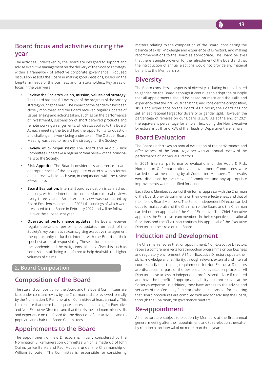# **Board focus and activities during the year**

The activities undertaken by the Board are designed to support and advise executive management on the delivery of the Society's strategy, within a framework of effective corporate governance. Focused discussion assists the Board in making good decisions, based on the long-term needs of the business and its stakeholders. Key areas of focus in the year were:

- **• Review the Society's vision, mission, values and strategy:**  The Board has had full oversight of the progress of the Society strategy during the year. The impact of the pandemic has been closely monitored and the Board received regular updates of issues arising and actions taken, such as on the performance of investments, suspension of short deferred products and remote working arrangements, which also applied to the Board. At each meeting the Board had the opportunity to question and challenge the work being undertaken. The October Board Meeting was used to review the strategy for the Society.
- **• Review of principal risks:** The Board and Audit & Risk Committee undertake a regular formal review of the principal risks to the Society.
- **• Risk Appetite:** The Board considers its adherence to and appropriateness of the risk appetite quarterly, with a formal annual review held each year, in conjunction with the review of the ORSA.
- **• Board Evaluation:** Internal Board evaluation is carried out annually, with the intention to commission external reviews every three years. An external review was conducted by Board Excellence at the end of 2021 the findings of which were presented to the Board in February 2022 and will be followed up over the subsequent year.
- **• Operational performance updates:** The Board receives regular operational performance updates from each of the Society's key business streams, giving executive management the opportunity to further interact with the Board on their specialist areas of responsibility. These included the impact of the pandemic and the mitigations taken to offset this, such as some sales staff being transferred to help deal with the higher volumes of claims.

### **2. Board Composition**

# **Composition of the Board**

The size and composition of the Board and the Board Committees are kept under constant review by the Chairman and are reviewed formally by the Nomination & Remuneration Committee at least annually. This is to ensure that there is adequate succession planning for Executive and Non-Executive Directors and that there is the optimum mix of skills and experience on the Board for the direction of our activities and to populate and chair the Board Committees.

# **Appointments to the Board**

The appointment of new Directors is initially considered by the Nomination & Remuneration Committee which is made up of John Quinn, Janice Banks and Paul Hudson, under the Chairmanship of William Schouten. The Committee is responsible for considering

matters relating to the composition of the Board, considering the balance of skills, knowledge and experience of Directors, and making recommendations to the Board as appropriate. The Board believes that there is ample provision for the refreshment of the Board and that the introduction of annual elections would not provide any material benefit to the Membership.

# **Diversity**

The Board considers all aspects of diversity, including but not limited to gender, on the Board although it continues to adopt the principle that all appointments should be based on merit and the skills and experience that the individual can bring, and consider the composition, skills and experience on the Board. As a result, the Board has not set an aspirational target for diversity or gender split. However, the percentage of females on our Board is 33%. As at the end of 2021 the equivalent percentage for all staff (excluding the Non Executive Directors) is 65%, and 75% of the Heads of Department are female.

# **Board Evaluation**

The Board undertakes an annual evaluation of the performance and effectiveness of the Board together with an annual review of the performance of individual Directors.

In 2021, internal performance evaluations of the Audit & Risk, Nomination & Remuneration and Investment Committees were carried out at the meeting by all Committee Members. The results were discussed by the relevant Committees and any appropriate improvements were identified for action.

Each Board Member, as part of their formal appraisal with the Chairman of the Board, provide comments on their own effectiveness and that of their fellow Board Members. The Senior Independent Director carried out a formal appraisal of the Chairman of the Board and the Chairman carried out an appraisal of the Chief Executive. The Chief Executive appraises the Executive team members in their respective operational functions and the Chairman confines his appraisal of the Executive Directors to their role on the Board.

# **Induction and Development**

The Chairman ensures that, on appointment, Non-Executive Directors receive a comprehensive tailored induction programme on our business and regulatory environment. All Non-Executive Directors update their skills, knowledge and familiarity, through relevant external and internal courses. Individual training requirements for Non-Executive Directors are discussed as part of the performance evaluation process. All Directors have access to independent professional advice if required and have the benefit of appropriate liability insurance cover at the Society's expense. In addition, they have access to the advice and services of the Company Secretary who is responsible for ensuring that Board procedures are complied with and for advising the Board, through the Chairman, on governance matters.

# **Re-appointment**

All directors are subject to election by Members at the first annual general meeting after their appointment, and to re-election thereafter by rotation at an interval of no more than three years.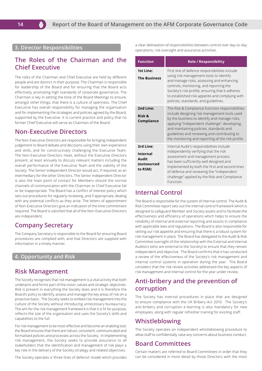**3. Director Responsibilities**

M

# **The Roles of the Chairman and the Chief Executive**

The roles of the Chairman and Chief Executive are held by different people and are distinct in their purpose. The Chairman is responsible for leadership of the Board and for ensuring that the Board acts effectively, promoting high standards of corporate governance. The Chairman is key in setting the tone of the Board Meetings to ensure, amongst other things, that there is a culture of openness. The Chief Executive has overall responsibility for managing the organisation and for implementing the strategies and policies agreed by the Board, supported by the Executive. It is current practice and policy that no former Chief Executive will serve as Chairman of the Board.

# **Non-Executive Directors**

The Non-Executive Directors are responsible for bringing independent judgement to Board debate and decisions using their own experience and skills, and for constructively challenging the Executive Team. The Non-Executive Directors meet, without the Executive Directors present, at least annually to discuss relevant matters including the overall performance of the Executive Team and the viability of the Society. The Senior Independent Director would act, if required, as an intermediary for the other Directors. The Senior Independent Director is also the main point of contact for Members should the normal channels of communication with the Chairman or Chief Executive fail or be inappropriate. The Board has a conflict of interest policy which sets out procedures for regularly reviewing, and if appropriate, dealing with any potential conflicts as they arise. The letters of appointment of Non-Executive Directors give an indication of the time commitment required. The Board is satisfied that all of the Non-Executive Directors are independent.

# **Company Secretary**

The Company Secretary is responsible to the Board for ensuring Board procedures are complied with, and that Directors are supplied with information in a timely manner.

### **4. Opportunity and Risk**

# **Risk Management**

The Society recognises that risk management is a vital activity that both underpins and forms part of the vision, values and strategic objectives. Risk is present in everything the Society does and it is therefore the Board's policy to identify, assess and manage the key areas of risk on a proactive basis. The Society seeks to embed risk management into the culture of the Society without introducing unnecessary bureaucracy. The aim for the risk management framework is that it is fit for purpose, reflects the size of the organisation and uses the Society's skills and capabilities to the full.

For risk management to be most effective and become an enabling tool, the Board ensures that there are robust, consistent, communicated and formalised policies and processes across the Society. In implementing risk management, the Society seeks to provide assurance to all stakeholders that the identification and management of risk plays a key role in the delivery of the Society strategy and related objectives.

The Society operates a 'three lines of defence' model which provides

a clear delineation of responsibilities between control over day-to-day operations, risk oversight and assurance activities.

| <b>Function</b>                                          | <b>Role / Responsibility</b>                                                                                                                                                                                                                                                                                                                      |
|----------------------------------------------------------|---------------------------------------------------------------------------------------------------------------------------------------------------------------------------------------------------------------------------------------------------------------------------------------------------------------------------------------------------|
| <b>1st Line:</b><br><b>The Business</b>                  | First line of defence responsibilities include<br>using risk management tools to identify<br>and manage risks, assessing and enhancing<br>controls, monitoring, and reporting the<br>Society's risk profile, ensuring that it adheres<br>to established risk appetite and complying with<br>policies, standards, and guidelines.                  |
| 2nd Line:<br>Risk &<br>Compliance                        | The Risk & Compliance Function responsibilities<br>include designing risk management tools used<br>by the business to identify and manage risks,<br>applying "independent challenge", developing,<br>and maintaining policies, standards and<br>guidelines and reviewing and contributing to<br>the monitoring and reporting of the risk profile. |
| 3rd Line:<br>Internal<br>Audit<br>(outsourced<br>to RSM) | Internal Audit's responsibilities include<br>independently verifying that the risk<br>assessment and management process<br>has been sufficiently well designed and<br>implemented by both the first and second lines<br>of defence and reviewing the "independent<br>challenge" applied by the Risk and Compliance<br>Function.                   |

# **Internal Control**

The Board is responsible for the system of internal control. The Audit & Risk Committee report sets out the internal control framework which is designed to safeguard Member and Society assets and to facilitate the effectiveness and efficiency of operations which helps to ensure the reliability of internal and external reporting and assists in compliance with applicable laws and regulations. The Board is also responsible for setting our risk appetite and ensuring that there is a robust system for risk management in place. The Board has delegated to the Audit & Risk Committee oversight of the relationship with the External and Internal Auditors (who are external to the Society) to ensure that they remain independent and objective. The Board confirms that it has conducted a review of the effectiveness of the Society's risk management and internal control systems in operation during the year. The Board considers that the risk review activities addressed the key aspects of risk management and internal control for the year under review.

# **Anti-bribery and the prevention of corruption**

The Society has internal procedures in place that are designed to ensure compliance with the UK Bribery Act 2010. The Society's anti-bribery and corruption e-learning is also mandatory for new employees, along with regular refresher training for existing staff.

# **Whistleblowing**

The Society operates an independent whistleblowing procedure to allow staff to confidentially raise any concerns about business conduct.

# **Board Committees**

Certain matters are referred to Board Committees in order that they can be considered in more detail by those Directors with the most

**14**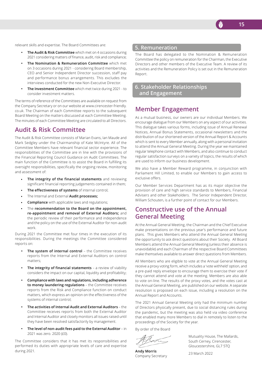

relevant skills and expertise. The Board Committees are:

- **• The Audit & Risk Committee** which met on 4 occasions during 2021 considering matters of finance, audit, risk and compliance;
- **• The Nomination & Remuneration Committee** which met on 3 occasions during 2021 - considering Board membership, CEO and Senior Independent Director succession, staff pay and performance bonus arrangements. This excludes the interviews conducted for the new Non-Executive Director.
- **• The Investment Committee** which met twice during 2021 to consider investment matters.

The terms of reference of the Committees are available on request from the Company Secretary or on our website at www.cirencester-friendly. co.uk. The Chairman of each Committee reports to the subsequent Board Meeting on the matters discussed at each Committee Meeting. The minutes of each Committee Meeting are circulated to all Directors.

# **Audit & Risk Committee**

The Audit & Risk Committee consists of Marian Evans, Ian Maude and Mark Sedgley under the Chairmanship of Kate McIntyre. All of the Committee Members have relevant financial sector experience. The responsibilities of the Committee are in line with the provisions of the Financial Reporting Council Guidance on Audit Committees. The main function of the Committee is to assist the Board in fulfilling its oversight responsibilities, specifically the ongoing review, monitoring and assessment of:

- **The integrity of the financial statements** and reviewing significant financial reporting judgements contained in them;
- **The effectiveness of systems** of internal control;
- The Internal and External **Audit processes;**
- **Compliance** with applicable laws and regulations;
- The **recommendation to the Board on the appointment, re-appointment and removal of External Auditors;** and the periodic review of their performance and independence and the policy on the use of the External Auditor for non-audit work.

During 2021 the Committee met four times in the execution of its responsibilities. During the meetings the Committee considered reports on:

- **• The system of internal control** the Committee receives reports from the Internal and External Auditors on control matters;
- **The integrity of financial statements** a review of viability considers the impact on our capital, liquidity and profitability;
- **• Compliance with laws and regulations, including adherence to money laundering regulations** – the Committee receives reports from the Risk and Compliance function on conduct matters, which express an opinion on the effectiveness of the systems of internal control;
- **• The activities of Internal Audit and External Auditors** the Committee receives reports from both the External Auditor and Internal Auditor and closely monitors all issues raised until they have been resolved satisfactorily by management.
- **• The level of non-audit fees paid to the External Auditor** in 2021 was zero. 2020 (£0).

The Committee considers that it has met its responsibilities and performed its duties with appropriate levels of care and expertise during 2021.

#### **5. Remuneration**

The Board has delegated to the Nomination & Remuneration Committee the policy on remuneration for the Chairman, the Executive Directors and other members of the Executive Team. A review of its activities and the Remuneration Policy is set out in the Remuneration Report.

**6. Stakeholder Relationships and Engagement**

# **Member Engagement**

As a mutual business, our owners are our individual Members. We encourage dialogue from our Members on any aspect of our activities. This dialogue takes various forms, including issue of Annual Renewal Notices, Annual Bonus Statements, occasional newsletters and the distribution of our shortened version of the Annual Report & Accounts which is sent to every Member annually, along with a personal invitation to attend the Annual General Meeting. During the year we maintained regular telephone contact with Members, and also continue to conduct regular satisfaction surveys on a variety of topics, the results of which are used to inform our business development.

We also have a Member Reward programme, in conjunction with Parliament Hill Limited, to enable our Members to gain access to exclusive offers.

Our Member Services Department has as its major objective the provision of care and high service standards to Members, Financial Advisers and other Stakeholders. The Senior Independent Director, William Schouten, is a further point of contact for our Members.

# **Constructive use of the Annual General Meeting**

At the Annual General Meeting, the Chairman and the Chief Executive make presentations on the previous year's performance and future plans. This gives Members who attend the Annual General Meeting the opportunity to ask direct questions about their Society. All Board Members attend the Annual General Meeting (unless their absence is unavoidable) and each Chairman of the respective Board Committees make themselves available to answer direct questions from Members.

All Members who are eligible to vote at the Annual General Meeting receive a proxy voting form, which includes a 'vote withheld' option, and a pre-paid reply envelope to encourage them to exercise their vote if they cannot attend and vote at the meeting. Members are also able to vote on-line. The results of the proxy votes, and the votes cast at the Annual General Meeting, are published on our website. A separate resolution is proposed on each issue, including a resolution on the Annual Report and Accounts.

The 2021 Annual General Meeting only had the minimum number of Directors physically present, due to social distancing rules during the pandemic, but the meeting was also held via video conference that enabled many more Members to dial in remotely to listen to the proceedings of the Society for the year.

By order of the Board

**Andy Morris** Company Secretary

Mutuality House, The Mallards, South Cerney, Cirencester, Gloucestershire, GL7 5TQ

23 March 2022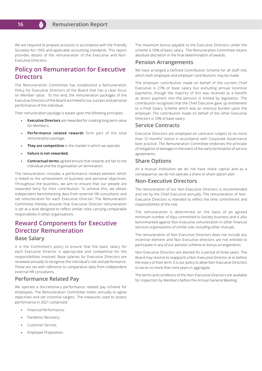

We are required to prepare accounts in accordance with the Friendly Societies Act 1992 and applicable accounting standards. This report provides details of the remuneration of the Executive and Non-Executive Directors.

# **Policy on Remuneration for Executive Directors**

The Remuneration Committee has established a Remuneration Policy for Executive Directors of the Board that has a clear focus on Member value. To this end, the remuneration packages of the Executive Directors of the Board are linked to our success and personal performance of the individual.

Their remuneration package is based upon the following principles:

- **Executive Directors** are rewarded for creating long-term value for Members;
- **Performance related rewards** form part of the total remuneration package;
- **They are competitive** in the market in which we operate;
- **Failure is not rewarded;**
- **Contractual terms** agreed ensure that rewards are fair to the individual and the organisation on termination.

The remuneration includes a performance related element which is linked to the achievement of business and personal objectives. Throughout the business, we aim to ensure that our people are rewarded fairly for their contribution. To achieve this, we obtain independent benchmarking data from external HR consultants and set remuneration for each Executive Director. The Remuneration Committee thereby ensures that Executive Director remuneration is set at a level designed to reflect similar roles carrying comparable responsibility in other organisations.

# **Reward Components for Executive Director Remuneration Base Salary**

It is the Committee's policy to ensure that the basic salary for each Executive Director is appropriate and competitive for the responsibilities involved. Base salaries for Executive Directors are reviewed annually to recognise the individual's role and performance. These are set with reference to comparative data from independent external HR consultants.

#### **Performance Related Pay**

We operate a discretionary performance related pay scheme for employees. The Remuneration Committee meets annually to agree objectives and set incentive targets. The measures used to assess performance in 2021 comprised:

- Financial Performance;
- Pandemic Recovery;
- Customer Service;
- Employee Proposition.

The maximum bonus payable to the Executive Directors under the scheme is 50% of basic salary. The Remuneration Committee retains absolute discretion in the final determination of awards.

#### **Pension Arrangements**

We have arranged a Defined Contribution Scheme for all staff into which both employee and employer contributions may be made.

The employer contribution made on behalf of the current Chief Executive is 27% of base salary but excluding annual incentive payments, though the majority of this was received as a benefit as direct payment into the pension is limited by legislation. The contribution recognises that the Chief Executive gave up entitlement to a Final Salary Scheme which was an onerous burden upon the employer. The contribution made on behalf of the other Executive Directors is 10% of base salary.

#### **Service Contracts**

Executive Directors are employed on contracts subject to no more than 12 months' notice in accordance with Corporate Governance best practice. The Remuneration Committee endorses the principle of mitigation of damages in the event of the early termination of service agreements.

#### **Share Options**

As a mutual institution we do not have share capital and as a consequence, we do not operate a share or share option plan.

#### **Non-Executive Directors**

The remuneration of our Non-Executive Directors is recommended and set by the Chief Executive annually. The remuneration of Non-Executive Directors is intended to reflect the time commitment and responsibilities of the role.

The remuneration is determined on the basis of an agreed minimum number of days committed to Society business and is also benchmarked against Non-Executive remuneration in other financial services organisations of similar size, including other mutuals.

The remuneration of Non-Executive Directors does not include any incentive element and Non-Executive directors are not entitled to participate in any of our pension scheme or bonus arrangements.

Non-Executive Directors are elected for a period of three years. The Board may resolve to reappoint a Non-Executive Director at or before the expiry of their term. It is our policy to allow Non-Executive Directors to serve no more than nine years in aggregate.

The terms and conditions of the Non-Executive Directors are available for inspection by Members before the Annual General Meeting.

**16**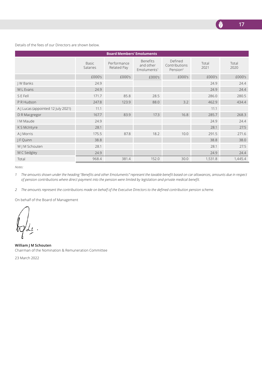

Details of the fees of our Directors are shown below.

| <b>Board Members' Emoluments</b>   |                   |                            |                                                         |                                                  |               |               |  |
|------------------------------------|-------------------|----------------------------|---------------------------------------------------------|--------------------------------------------------|---------------|---------------|--|
|                                    | Basic<br>Salaries | Performance<br>Related Pay | <b>Benefits</b><br>and other<br>Emoluments <sup>1</sup> | Defined<br>Contributions<br>Pension <sup>2</sup> | Total<br>2021 | Total<br>2020 |  |
|                                    | £000's            | £000's                     | £000's                                                  | £000's                                           | £000's        | £000's        |  |
| J W Banks                          | 24.9              |                            |                                                         |                                                  | 24.9          | 24.4          |  |
| M L Evans                          | 24.9              |                            |                                                         |                                                  | 24.9          | 24.4          |  |
| S E Fell                           | 171.7             | 85.8                       | 28.5                                                    |                                                  | 286.0         | 280.5         |  |
| P R Hudson                         | 247.8             | 123.9                      | 88.0                                                    | 3.2                                              | 462.9         | 434.4         |  |
| A J Lucas (appointed 12 July 2021) | 11.1              |                            |                                                         |                                                  | 11.1          |               |  |
| D R Macgregor                      | 167.7             | 83.9                       | 17.3                                                    | 16.8                                             | 285.7         | 268.3         |  |
| I M Maude                          | 24.9              |                            |                                                         |                                                  | 24.9          | 24.4          |  |
| K S McIntyre                       | 28.1              |                            |                                                         |                                                  | 28.1          | 27.5          |  |
| A J Morris                         | 175.5             | 87.8                       | 18.2                                                    | 10.0                                             | 291.5         | 271.6         |  |
| J F Quinn                          | 38.8              |                            |                                                         |                                                  | 38.8          | 38.0          |  |
| W J M Schouten                     | 28.1              |                            |                                                         |                                                  | 28.1          | 27.5          |  |
| M C Sedgley                        | 24.9              |                            |                                                         |                                                  | 24.9          | 24.4          |  |
| Total                              | 968.4             | 381.4                      | 152.0                                                   | 30.0                                             | 1,531.8       | 1,445.4       |  |

*Notes:* 

*1 The amounts shown under the heading "Benefits and other Emoluments" represent the taxable benefit based on car allowances, amounts due in respect of pension contributions where direct payment into the pension were limited by legislation and private medical benefit.* 

*2 The amounts represent the contributions made on behalf of the Executive Directors to the defined contribution pension scheme.*

On behalf of the Board of Management

**William J M Schouten** Chairman of the Nomination & Remuneration Committee

23 March 2022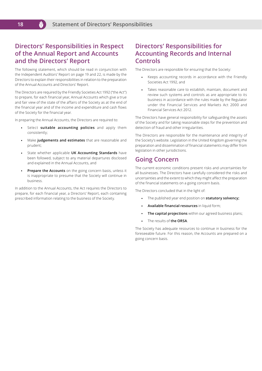# **Directors' Responsibilities in Respect of the Annual Report and Accounts and the Directors' Report**

The following statement, which should be read in conjunction with the Independent Auditors' Report on page 19 and 22, is made by the Directors to explain their responsibilities in relation to the preparation of the Annual Accounts and Directors' Report.

The Directors are required by the Friendly Societies Act 1992 ("the Act") to prepare, for each financial year, Annual Accounts which give a true and fair view of the state of the affairs of the Society as at the end of the financial year and of the income and expenditure and cash flows of the Society for the financial year.

In preparing the Annual Accounts, the Directors are required to:

- Select **suitable accounting policies** and apply them consistently;
- Make **judgements and estimates** that are reasonable and prudent;
- State whether applicable **UK Accounting Standards** have been followed, subject to any material departures disclosed and explained in the Annual Accounts, and
- **Prepare the Accounts** on the going concern basis, unless it is inappropriate to presume that the Society will continue in business.

In addition to the Annual Accounts, the Act requires the Directors to prepare, for each financial year, a Directors' Report, each containing prescribed information relating to the business of the Society.

# **Directors' Responsibilities for Accounting Records and Internal Controls**

The Directors are responsible for ensuring that the Society:

- Keeps accounting records in accordance with the Friendly  $\ddot{\phantom{a}}$ Societies Act 1992, and
- Takes reasonable care to establish, maintain, document and review such systems and controls as are appropriate to its business in accordance with the rules made by the Regulator under the Financial Services and Markets Act 2000 and Financial Services Act 2012.

The Directors have general responsibility for safeguarding the assets of the Society and for taking reasonable steps for the prevention and detection of fraud and other irregularities.

The Directors are responsible for the maintenance and integrity of the Society's website. Legislation in the United Kingdom governing the preparation and dissemination of financial statements may differ from legislation in other jurisdictions.

# **Going Concern**

The current economic conditions present risks and uncertainties for all businesses. The Directors have carefully considered the risks and uncertainties and the extent to which they might affect the preparation of the financial statements on a going concern basis.

The Directors concluded that in the light of:

- The published year end position on **statutory solvency;**   $\bullet$
- **Available financial resources** in liquid form;  $\bullet$
- **The capital projections** within our agreed business plans;
- $\ddot{\phantom{0}}$ The results of **the ORSA**.

The Society has adequate resources to continue in business for the foreseeable future. For this reason, the Accounts are prepared on a going concern basis.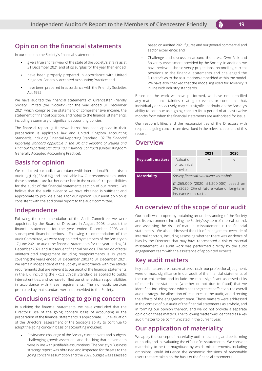# **Opinion on the financial statements**

In our opinion, the Society's financial statements:

- give a true and fair view of the state of the Society's affairs as at 31 December 2021 and of its surplus for the year then ended;
- have been properly prepared in accordance with United Kingdom Generally Accepted Accounting Practice; and
- have been prepared in accordance with the Friendly Societies Act 1992.

We have audited the financial statements of Cirencester Friendly Society Limited (the "Society") for the year ended 31 December 2021 which comprise the statement of comprehensive income, the statement of financial position, and notes to the financial statements, including a summary of significant accounting policies.

The financial reporting framework that has been applied in their preparation is applicable law and United Kingdom Accounting Standards, including Financial Reporting Standard 102 *The Financial Reporting Standard applicable in the UK and Republic of Ireland and Financial Reporting Standard 103 Insurance Contracts* (United Kingdom Generally Accepted Accounting Practice).

# **Basis for opinion**

We conducted our audit in accordance with International Standards on Auditing (UK) (ISAs (UK)) and applicable law. Our responsibilities under those standards are further described in the Auditor's responsibilities for the audit of the financial statements section of our report. We believe that the audit evidence we have obtained is sufficient and appropriate to provide a basis for our opinion. Our audit opinion is consistent with the additional report to the audit committee.

# **Independence**

Following the recommendation of the Audit Committee, we were appointed by the Board of Directors in August 2003 to audit the financial statements for the year ended December 2003 and subsequent financial periods. Following recommendation of the Audit Committee, we were reappointed by members of the Society on 17 June 2021 to audit the financial statements for the year ending 31 December 2021 and subsequent financial periods. The period of total uninterrupted engagement including reappointments is 19 years, covering the years ended 31 December 2003 to 31 December 2021. We remain independent of the Society in accordance with the ethical requirements that are relevant to our audit of the financial statements in the UK, including the FRC's Ethical Standard as applied to public interest entities, and we have fulfilled our other ethical responsibilities in accordance with these requirements. The non-audit services prohibited by that standard were not provided to the Society.

# **Conclusions relating to going concern**

In auditing the financial statements, we have concluded that the Directors' use of the going concern basis of accounting in the preparation of the financial statements is appropriate. Our evaluation of the Directors' assessment of the Society's ability to continue to adopt the going concern basis of accounting included:

Review and challenge of the Society current plans and budgets, challenging growth assertions and checking that movements were in line with justifiable assumptions. The Society's Business strategy report was obtained and inspected for threats to the going concern assumption and the 2022 budget was assessed

based on audited 2021 figures and our general commercial and sector experience; and

Challenge and discussion around the latest Own Risk and Solvency Assessment provided by the Society. In addition, we have reviewed the solvency projections, reconciling current positions to the financial statements and challenged the Director's as to the assumptions embedded within the model. We have also checked that the modelling used for solvency is in line with industry standards.

Based on the work we have performed, we have not identified any material uncertainties relating to events or conditions that, individually or collectively, may cast significant doubt on the Society's ability to continue as a going concern for a period of at least twelve months from when the financial statements are authorised for issue.

Our responsibilities and the responsibilities of the Directors with respect to going concern are described in the relevant sections of this report.

# **Overview**

|                          |                                         | 2021                                                                                 | 2020       |
|--------------------------|-----------------------------------------|--------------------------------------------------------------------------------------|------------|
| <b>Key audit matters</b> | Valuation<br>of technical<br>provisions |                                                                                      | $\sqrt{ }$ |
| <b>Materiality</b>       |                                         | Society financial statements as a whole                                              |            |
|                          | insurance contracts.                    | £1,265,000 (2020: £1,200,000) based on<br>2% (2020: 2%) of future value of long-term |            |

# **An overview of the scope of our audit**

Our audit was scoped by obtaining an understanding of the Society and its environment, including the Society's system of internal control, and assessing the risks of material misstatement in the financial statements. We also addressed the risk of management override of internal controls, including assessing whether there was evidence of bias by the Directors that may have represented a risk of material misstatement. All audit work was performed directly by the audit engagement team with the assistance of appointed experts.

# **Key audit matters**

Key audit matters are those matters that, in our professional judgment, were of most significance in our audit of the financial statements of the current period and include the most significant assessed risks of material misstatement (whether or not due to fraud) that we identified, including those which had the greatest effect on: the overall audit strategy, the allocation of resources in the audit; and directing the efforts of the engagement team. These matters were addressed in the context of our audit of the financial statements as a whole, and in forming our opinion thereon, and we do not provide a separate opinion on these matters. The following matter was identified as a key audit matter to be communicated in the current year.

# **Our application of materiality**

We apply the concept of materiality both in planning and performing our audit, and in evaluating the effect of misstatements. We consider materiality to be the magnitude by which misstatements, including omissions, could influence the economic decisions of reasonable users that are taken on the basis of the financial statements.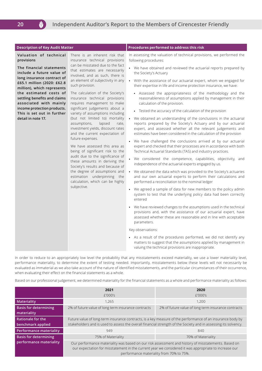| <b>Description of Key Audit Matter</b>                                                                                                                                                                                                                                                                                                                         |                                                                                                                                                                                                                                                                                                                                                                                                                                                                                                                                                                                                                                                                                                                                                                                                                                                                               | Procedures performed to address this risk                                                                                                                                                                                                                                                                                                                                                                                                                                                                                                                                                                                                                                                                                                                                                                                                                                                                                                                                                                                                                                                                                                                                                                                                                                                                                                                                                                                                                                                                                                                                                                                                                                                                                                                                                                                                                                                                                                                                              |  |  |  |
|----------------------------------------------------------------------------------------------------------------------------------------------------------------------------------------------------------------------------------------------------------------------------------------------------------------------------------------------------------------|-------------------------------------------------------------------------------------------------------------------------------------------------------------------------------------------------------------------------------------------------------------------------------------------------------------------------------------------------------------------------------------------------------------------------------------------------------------------------------------------------------------------------------------------------------------------------------------------------------------------------------------------------------------------------------------------------------------------------------------------------------------------------------------------------------------------------------------------------------------------------------|----------------------------------------------------------------------------------------------------------------------------------------------------------------------------------------------------------------------------------------------------------------------------------------------------------------------------------------------------------------------------------------------------------------------------------------------------------------------------------------------------------------------------------------------------------------------------------------------------------------------------------------------------------------------------------------------------------------------------------------------------------------------------------------------------------------------------------------------------------------------------------------------------------------------------------------------------------------------------------------------------------------------------------------------------------------------------------------------------------------------------------------------------------------------------------------------------------------------------------------------------------------------------------------------------------------------------------------------------------------------------------------------------------------------------------------------------------------------------------------------------------------------------------------------------------------------------------------------------------------------------------------------------------------------------------------------------------------------------------------------------------------------------------------------------------------------------------------------------------------------------------------------------------------------------------------------------------------------------------------|--|--|--|
| Valuation of technical<br>provisions<br>The financial statements<br>include a future value of<br>long insurance contract of<br>£65.1 million (2020: £62.8<br>million), which represents<br>the estimated costs of<br>settling benefits and claims<br>associated with mainly<br>income protection products.<br>This is set out in further<br>detail in note 17. | There is an inherent risk that<br>insurance technical provisions<br>can be misstated due to the fact<br>that estimates are necessarily<br>involved, and as such, there is<br>an element of subjectivity in any<br>such provision.<br>The calculation of the Society's<br>insurance technical provisions<br>requires management to make<br>significant judgements about a<br>variety of assumptions including<br>(but not limited to) mortality<br>lapsed<br>assumptions,<br>rate,<br>investment yields, discount rates<br>and the current expectation of<br>future expenses.<br>We have assessed this area as<br>being of significant risk to the<br>audit due to the significance of<br>these amounts in deriving the<br>Society's results and because of<br>the degree of assumptions and<br>estimation underpinning the<br>calculation, which can be highly<br>subjective. | In assessing the valuation of technical provisions, we performed the<br>following procedures:<br>• We have obtained and reviewed the actuarial reports prepared by<br>the Society's Actuary<br>• With the assistance of our actuarial expert, whom we engaged for<br>their expertise in life and income protection insurance, we have:<br>• Assessed the appropriateness of the methodology and the<br>reasonableness of assumptions applied by management in their<br>calculation of the provision.<br>• Tested the accuracy of the calculation of the provision<br>We obtained an understanding of the conclusions in the actuarial<br>reports prepared by the Society's Actuary and by our actuarial<br>expert, and assessed whether all the relevant judgements and<br>estimates have been considered in the calculation of the provision<br>• We have challenged the conclusions arrived at by our actuarial<br>expert and checked that their processes are in accordance with both<br>Technical Actuarial Standards (TAS) and industry practices.<br>We considered the competence, capabilities, objectivity, and<br>independence of the actuarial experts engaged by us.<br>We obtained the data which was provided to the Society's actuaries<br>and our own actuarial experts to perform their calculations and<br>performed a reconciliation to the nominal ledger<br>• We agreed a sample of data for new members to the policy admin<br>system to test that the underlying policy data had been correctly<br>entered<br>• We have reviewed changes to the assumptions used in the technical<br>provisions and, with the assistance of our actuarial expert, have<br>assessed whether these are reasonable and in line with acceptable<br>parameters.<br>Key observations:<br>• As a result of the procedures performed, we did not identify any<br>matters to suggest that the assumptions applied by management in<br>valuing the technical provisions are inappropriate. |  |  |  |
|                                                                                                                                                                                                                                                                                                                                                                |                                                                                                                                                                                                                                                                                                                                                                                                                                                                                                                                                                                                                                                                                                                                                                                                                                                                               |                                                                                                                                                                                                                                                                                                                                                                                                                                                                                                                                                                                                                                                                                                                                                                                                                                                                                                                                                                                                                                                                                                                                                                                                                                                                                                                                                                                                                                                                                                                                                                                                                                                                                                                                                                                                                                                                                                                                                                                        |  |  |  |

In order to reduce to an appropriately low level the probability that any misstatements exceed materiality, we use a lower materiality level, performance materiality, to determine the extent of testing needed. Importantly, misstatements below these levels will not necessarily be evaluated as immaterial as we also take account of the nature of identified misstatements, and the particular circumstances of their occurrence, when evaluating their effect on the financial statements as a whole.

Based on our professional judgement, we determined materiality for the financial statements as a whole and performance materiality as follows:

|                                             | 2021                                                                                                                                                                                                                                                     | 2020                                                |  |  |
|---------------------------------------------|----------------------------------------------------------------------------------------------------------------------------------------------------------------------------------------------------------------------------------------------------------|-----------------------------------------------------|--|--|
|                                             | £′000′s                                                                                                                                                                                                                                                  | £'000's                                             |  |  |
| <b>Materiality</b>                          | 1.265                                                                                                                                                                                                                                                    | 1,200                                               |  |  |
| <b>Basis for determining</b><br>materiality | 2% of future value of long term insurance contracts                                                                                                                                                                                                      | 2% of future value of long term insurance contracts |  |  |
| Rationale for the<br>benchmark applied      | Future value of long-term insurance contracts, is a key measure of the performance of an insurance body by<br>stakeholders and is used to assess the overall financial strength of the Society and in assessing its solvency.                            |                                                     |  |  |
| <b>Performance materiality</b>              | 949                                                                                                                                                                                                                                                      | 840                                                 |  |  |
| <b>Basis for determining</b>                | 75% of Materiality                                                                                                                                                                                                                                       | 70% of Materiality                                  |  |  |
| performance materiality                     | Our performance materiality was based on our risk assessment and history of misstatements. Based on<br>our expectation for misstatement in the current year we considered it was appropriate to increase our<br>performance materiality from 70% to 75%. |                                                     |  |  |

M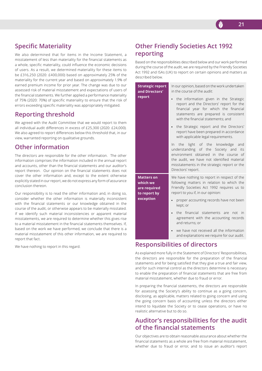# **Specific Materiality**

We also determined that for items in the Income Statement, a misstatement of less than materiality for the financial statements as a whole, specific materiality, could influence the economic decisions of users. As a result, we determined materiality for these items to be £316,250 (2020: £400,000) based on approximately 25% of the materiality for the current year and based on approximately 1.9% of earned premium income for prior year. The change was due to our assessed risk of material misstatement and expectations of users of the financial statements. We further applied a performance materiality of 75% (2020: 70%) of specific materiality to ensure that the risk of errors exceeding specific materiality was appropriately mitigated.

# **Reporting threshold**

We agreed with the Audit Committee that we would report to them all individual audit differences in excess of £25,300 (2020: £24,000). We also agreed to report differences below this threshold that, in our view, warranted reporting on qualitative grounds.

# **Other information**

The directors are responsible for the other information. The other information comprises the information included in the annual report and accounts, other than the financial statements and our auditor's report thereon. Our opinion on the financial statements does not cover the other information and, except to the extent otherwise explicitly stated in our report, we do not express any form of assurance conclusion thereon.

Our responsibility is to read the other information and, in doing so, consider whether the other information is materially inconsistent with the financial statements or our knowledge obtained in the course of the audit, or otherwise appears to be materially misstated. If we identify such material inconsistencies or apparent material misstatements, we are required to determine whether this gives rise to a material misstatement in the financial statements themselves. If, based on the work we have performed, we conclude that there is a material misstatement of this other information, we are required to report that fact.

We have nothing to report in this regard.

# **Other Friendly Societies Act 1992 reporting**

Based on the responsibilities described below and our work performed during the course of the audit, we are required by the Friendly Societies Act 1992 and ISAs (UK) to report on certain opinions and matters as described below.

**Strategic report and Directors' report** 

In our opinion, based on the work undertaken in the course of the audit:

- the information given in the Strategic report and the Directors' report for the financial year for which the financial statements are prepared is consistent with the financial statements; and
- the Strategic report and the Directors' report have been prepared in accordance with applicable legal requirements.

In the light of the knowledge and understanding of the Society and its environment obtained in the course of the audit, we have not identified material misstatements in the strategic report or the Directors' report.

**Matters on which we are required to report by exception**

We have nothing to report in respect of the following matters in relation to which the Friendly Societies Act 1992 requires us to report to you if, in our opinion:

- proper accounting records have not been kept; or
- the financial statements are not in agreement with the accounting records and returns; or
- we have not received all the information and explanations we require for our audit.

# **Responsibilities of directors**

As explained more fully in the Statement of Directors' Responsibilities, the directors are responsible for the preparation of the financial statements and for being satisfied that they give a true and fair view, and for such internal control as the directors determine is necessary to enable the preparation of financial statements that are free from material misstatement, whether due to fraud or error.

In preparing the financial statements, the directors are responsible for assessing the Society's ability to continue as a going concern, disclosing, as applicable, matters related to going concern and using the going concern basis of accounting unless the directors either intend to liquidate the Society or to cease operations, or have no realistic alternative but to do so.

# **Auditor's responsibilities for the audit of the financial statements**

Our objectives are to obtain reasonable assurance about whether the financial statements as a whole are free from material misstatement, whether due to fraud or error, and to issue an auditor's report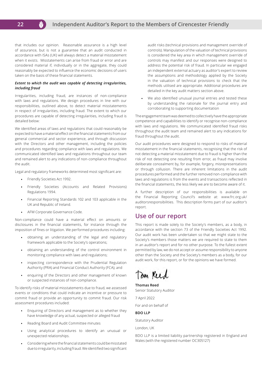

that includes our opinion. Reasonable assurance is a high level of assurance, but is not a guarantee that an audit conducted in accordance with ISAs (UK) will always detect a material misstatement when it exists. Misstatements can arise from fraud or error and are considered material if, individually or in the aggregate, they could reasonably be expected to influence the economic decisions of users taken on the basis of these financial statements.

#### *Extent to which the audit was capable of detecting irregularities, including fraud*

Irregularities, including fraud, are instances of non-compliance with laws and regulations. We design procedures in line with our responsibilities, outlined above, to detect material misstatements in respect of irregularities, including fraud. The extent to which our procedures are capable of detecting irregularities, including fraud is detailed below:

We identified areas of laws and regulations that could reasonably be expected to have a material effect on the financial statements from our general commercial and sector experience, and through discussion with the Directors and other management, including the policies and procedures regarding compliance with laws and regulations. We communicated identified laws and regulations throughout our team and remained alert to any indications of non-compliance throughout the audit.

Legal and regulatory frameworks determined most significant are:

- **•** Friendly Societies Act 1992.
- Friendly Societies (Accounts and Related Provisions) Regulations 1994.
- Financial Reporting Standards 102 and 103 applicable in the UK and Republic of Ireland.
- AFM Corporate Governance Code.

Non-compliance could have a material effect on amounts or disclosures in the financial statements, for instance through the imposition of fines or litigation. We performed procedures including:

- obtaining an understanding of the legal and regulatory framework applicable to the Society's operations;
- obtaining an understanding of the control environment in monitoring compliance with laws and regulations;
- inspecting correspondence with the Prudential Regulation Authority (PRA) and Financial Conduct Authority (FCA); and
- enquiring of the Directors and other management of known  $\ddot{\phantom{a}}$ or suspected instances of non-compliance.

To identify risks of material misstatements due to fraud, we assessed events or conditions that could indicate an incentive or pressure to commit fraud or provide an opportunity to commit fraud. Our risk assessment procedures included:

- Enquiring of Directors and management as to whether they have knowledge of any actual, suspected or alleged fraud
- Reading Board and Audit Committee minutes
- Using analytical procedures to identify an unusual or unexpected relationships.
- Considering where the financial statements could be misstated due to irregularity, including fraud. We identified two significant

audit risks (technical provisions and management override of controls). Manipulation of the valuation of technical provisions is considered the key area in which management override of controls may manifest and our responses were designed to address the potential risk of fraud. In particular we engaged an independent external actuary as auditor's expert to review the assumptions and methodology applied by the Society in the valuation of technical provisions to check that the methods utilised are appropriate. Additional procedures are detailed in the key audit matters section above.

We also identified unusual journal entries and tested these by understanding the rationale for the journal entry and corroborating to supporting documentation

The engagement team was deemed to collectively have the appropriate competence and capabilities to identify or recognise non-compliance with laws and regulations. We communicated identified fraud risks throughout the audit team and remained alert to any indications for fraud throughout the audit.

Our audit procedures were designed to respond to risks of material misstatement in the financial statements, recognising that the risk of not detecting a material misstatement due to fraud is higher than the risk of not detecting one resulting from error, as fraud may involve deliberate concealment by, for example, forgery, misrepresentations or through collusion. There are inherent limitations in the audit procedures performed and the further removed non-compliance with laws and regulations is from the events and transactions reflected in the financial statements, the less likely we are to become aware of it.

A further description of our responsibilities is available on the Financial Reporting Council's website at: www.frc.org.uk/ auditorsresponsibilities. This description forms part of our auditor's report.

# **Use of our report**

This report is made solely to the Society's members, as a body, in accordance with the section 73 of the Friendly Societies Act 1992. Our audit work has been undertaken so that we might state to the Society's members those matters we are required to state to them in an auditor's report and for no other purpose. To the fullest extent permitted by law, we do not accept or assume responsibility to anyone other than the Society and the Society's members as a body, for our audit work, for this report, or for the opinions we have formed.

Tom Reed

**Thomas Reed** Senior Statutory Auditor

7 April 2022

For and on behalf of

**BDO LLP**

Statutory Auditor

London, UK

BDO LLP is a limited liability partnership registered in England and Wales (with the registered number OC305127)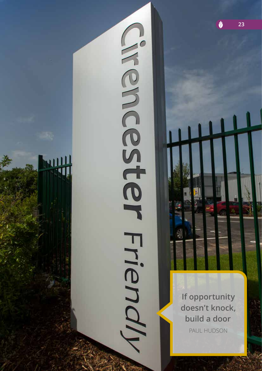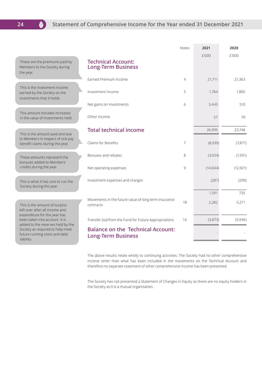# **24 Statement of Comprehensive Income for the Year ended 31 December 2021**

|                                                                                                                                                        |                                                                                                                                | <b>Notes</b>   | 2021               | 2020                |
|--------------------------------------------------------------------------------------------------------------------------------------------------------|--------------------------------------------------------------------------------------------------------------------------------|----------------|--------------------|---------------------|
| These are the premiums paid by<br>Members to the Society during<br>the year.                                                                           | <b>Technical Account:</b><br><b>Long-Term Business</b><br>Earned Premium Income                                                | $\overline{4}$ | f'000<br>21,711    | f'000<br>21,363     |
| This is the investment income<br>earned by the Society on the<br>investments that it holds.                                                            | Investment Income                                                                                                              | 5              | 1,784              | 1,805               |
| This amount includes increases<br>in the value of investments held.                                                                                    | Net gains on Investments<br>Other income                                                                                       | 6              | 3,443<br>57        | 510<br>70           |
| This is the amount paid and due<br>to Members in respect of sick pay                                                                                   | <b>Total technical income</b>                                                                                                  |                | 26,995             | 23,748              |
| benefit claims during the year.<br>These amounts represent the                                                                                         | Claims for Benefits<br>Bonuses and rebates                                                                                     | 7<br>8         | (8,039)<br>(3,034) | (7, 871)<br>(1,931) |
| bonuses added to Members'<br>credits during the year.                                                                                                  | Net operating expenses                                                                                                         | 9              | (14, 044)          | (12, 921)           |
| This is what it has cost to run the<br>Society during the year.                                                                                        | Investment expenses and charges                                                                                                |                | (287)<br>1,591     | (290)<br>735        |
| This is the amount of surplus<br>left over after all income and<br>expenditure for the year has                                                        | Movements in the future value of long term insurance<br>contracts                                                              | 18             | 2,282              | 5,211               |
| been taken into account. It is<br>added to the reserves held by the<br>Society as required to help meet<br>future running costs and debt<br>liability. | Transfer (to)/from the Fund for Future Appropriations<br><b>Balance on the Technical Account:</b><br><b>Long-Term Business</b> | 14             | (3, 873)           | (5,946)             |
|                                                                                                                                                        |                                                                                                                                |                |                    |                     |

The above results relate wholly to continuing activities. The Society had no other comprehensive income other than what has been included in the movements on the Technical Account and therefore no separate statement of other comprehensive income has been presented.

The Society has not presented a Statement of Changes in Equity as there are no equity holders in the Society as it is a mutual organisation.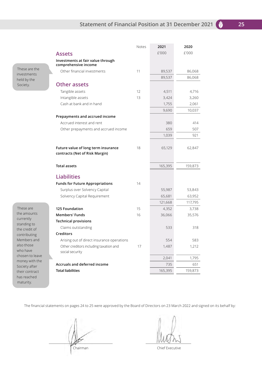|                                                           | Notes | 2021    | 2020    |
|-----------------------------------------------------------|-------|---------|---------|
| <b>Assets</b>                                             |       | £'000   | £'000   |
| Investments at fair value through<br>comprehensive income |       |         |         |
| Other financial investments                               | 11    | 89,537  | 86,068  |
|                                                           |       | 89,537  | 86,068  |
| <b>Other assets</b>                                       |       |         |         |
| Tangible assets                                           | 12    | 4,511   | 4,716   |
| Intangible assets                                         | 13    | 3,424   | 3,260   |
| Cash at bank and in hand                                  |       | 1,755   | 2,061   |
|                                                           |       | 9,690   | 10,037  |
| Prepayments and accrued income                            |       |         |         |
| Accrued interest and rent                                 |       | 380     | 414     |
| Other prepayments and accrued income                      |       | 659     | 507     |
|                                                           |       | 1,039   | 921     |
|                                                           |       |         |         |
| Future value of long term insurance                       | 18    | 65,129  | 62,847  |
| contracts (Net of Risk Margin)                            |       |         |         |
|                                                           |       |         |         |
| <b>Total assets</b>                                       |       | 165,395 | 159,873 |
| <b>Liabilities</b>                                        |       |         |         |
| <b>Funds for Future Appropriations</b>                    | 14    |         |         |
| Surplus over Solvency Capital                             |       | 55,987  | 53,843  |
| Solvency Capital Requirement                              |       | 65,681  | 63,952  |
|                                                           |       | 121,668 | 117,795 |
| <b>125 Foundation</b>                                     | 15    | 4,352   | 3,738   |
| <b>Members' Funds</b>                                     | 16    | 36,066  | 35,576  |
| <b>Technical provisions</b>                               |       |         |         |
| Claims outstanding                                        |       | 533     | 318     |
| <b>Creditors</b>                                          |       |         |         |
| Arising out of direct insurance operations                |       | 554     | 583     |
| Other creditors including taxation and<br>social security | 17    | 1,487   | 1,212   |
|                                                           |       | 2,041   | 1,795   |
| <b>Accruals and deferred income</b>                       |       | 735     | 651     |
| <b>Total liabilities</b>                                  |       | 165,395 | 159,873 |

These are the investments held by the Society.

the amounts currently standing to the credit of contributing Members and also those who have chosen to leave money with the Society after their contract has reached maturity.

These are

The financial statements on pages 24 to 25 were approved by the Board of Directors on 23 March 2022 and signed on its behalf by:

Chairman Chairman Chief Executive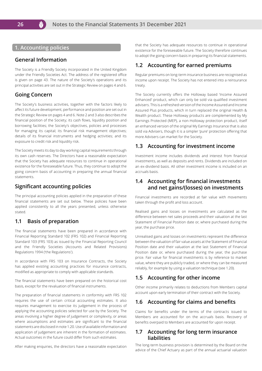### **1. Accounting policies**

#### **General Information**

The Society is a Friendly Society incorporated in the United Kingdom under the Friendly Societies Act. The address of the registered office is given on page 43. The nature of the Society's operations and its principal activities are set out in the Strategic Review on pages 4 and 6.

#### **Going Concern**

The Society's business activities, together with the factors likely to affect its future development, performance and position are set out in the Strategic Review on pages 4 and 6. Note 2 and 3 also describes the financial position of the Society; its cash flows, liquidity position and borrowing facilities; the Society's objectives, policies and processes for managing its capital; its financial risk management objectives; details of its financial instruments and hedging activities; and its exposure to credit risk and liquidity risk.

The Society meets its day to day working capital requirements through its own cash reserves. The Directors have a reasonable expectation that the Society has adequate resources to continue in operational existence for the foreseeable future. Thus, they continue to adopt the going concern basis of accounting in preparing the annual financial statements.

#### **Significant accounting policies**

The principal accounting policies applied in the preparation of these financial statements are set out below. These policies have been applied consistently to all the years presented, unless otherwise stated.

### **1.1 Basis of preparation**

The financial statements have been prepared in accordance with Financial Reporting Standard 102 (FRS 102) and Financial Reporting Standard 103 (FRS 103) as issued by the Financial Reporting Council and the Friendly Societies (Accounts and Related Provisions) Regulations 1994 ('the Regulations').

In accordance with FRS 103 on Insurance Contracts, the Society has applied existing accounting practices for insurance contracts, modified as appropriate to comply with applicable standards.

The financial statements have been prepared on the historical cost basis, except for the revaluation of financial instruments.

The preparation of financial statements in conformity with FRS 102 requires the use of certain critical accounting estimates. It also requires management to exercise its judgement in the process of applying the accounting policies selected for use by the Society. The areas involving a higher degree of judgement or complexity, or areas where assumptions and estimates are significant to the financial statements are disclosed in note 1.20. Use of available information and application of judgement are inherent in the formation of estimates. Actual outcomes in the future could differ from such estimates.

After making enquiries, the directors have a reasonable expectation

that the Society has adequate resources to continue in operational existence for the foreseeable future. The Society therefore continues to adopt the going concern basis in preparing its financial statements.

### **1.2 Accounting for earned premiums**

Regular premiums on long-term insurance business are recognised as income upon receipt. The Society has not entered into a reinsurance treaty.

The Society currently offers the Holloway based 'Income Assured Enhanced' product, which can only be sold via qualified investment advisers. This is a refreshed version of the Income Assured and Income Assured Plus products, which in turn replaced the original Health & Wealth product. These Holloway products are complemented by My Earnings Protected (MEP), a non-Holloway protection product, itself an enhanced version of the original My Earnings Insurance that is also sold via Advisers, though it is a simpler 'pure' protection offering that more Advisers can market for the Society.

#### **1.3 Accounting for investment income**

Investment income includes dividends and interest from financial investments, as well as deposits and rents. Dividends are included on an ex-dividend basis. All other investment income is included on an accruals basis.

### **1.4 Accounting for financial investments and net gains/(losses) on investments**

Financial investments are recorded at fair value with movements taken through the profit and loss account.

Realised gains and losses on investments are calculated as the difference between net sales proceeds and their valuation at the last Statement of Financial Position date or, where purchased during the year, the purchase price.

Unrealised gains and losses on investments represent the difference between the valuation of fair value assets at the Statement of Financial Position date and their valuation at the last Statement of Financial Position date or, where purchased during the year, the purchase price. Fair value for financial investments is by reference to market value, where they are publicly traded, or where they can be measured reliably, for example by using a valuation technique (see 1.20).

### **1.5 Accounting for other income**

Other income primarily relates to deductions from Members capital account upon early termination of their contract with the Society.

#### **1.6 Accounting for claims and benefits**

Claims for benefits under the terms of the contracts issued to Members are accounted for on the accruals basis. Recovery of benefits overpaid to Members are accounted for upon receipt.

#### **1.7 Accounting for long term insurance liabilities**

The long-term business provision is determined by the Board on the advice of the Chief Actuary as part of the annual actuarial valuation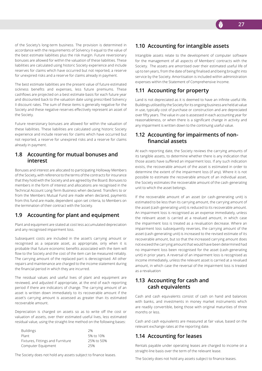of the Society's long-term business. The provision is determined in accordance with the requirements of Solvency II equal to the value of the best estimate liabilities plus the risk margin. Future reversionary bonuses are allowed for within the valuation of these liabilities. These liabilities are calculated using historic Society experience and include reserves for claims which have occurred but not reported, a reserve for unexpired risks and a reserve for claims already in payment.

The best estimate liabilities are the present value of future estimated sickness benefits and expenses, less future premiums. These cashflows are projected on a best estimate basis for each future year and discounted back to the valuation date using prescribed Solvency II discount rates. The sum of these items is generally negative for the Society and these negative reserves effectively represent an asset of the Society.

Future reversionary bonuses are allowed for within the valuation of these liabilities. These liabilities are calculated using historic Society experience and include reserves for claims which have occurred but not reported, a reserve for unexpired risks and a reserve for claims already in payment.

#### **1.8 Accounting for mutual bonuses and interest**

Bonuses and interest are allocated to participating Holloway Members of the Society, with reference to the terms of the contracts for insurance that they hold with the Society and are agreed by the Board. Bonuses to members in the form of interest and allocations are recognised in the Technical Account Long-Term Business when declared. Transfers to or from the Members Mutual Fund are made when declared, payments from this fund are made, dependent upon set criteria, to Members on the termination of their contract with the Society.

# **1.9 Accounting for plant and equipment**

Plant and equipment are stated at cost less accumulated depreciation and any recognised impairment loss.

Subsequent costs are included in the asset's carrying amount or recognised as a separate asset, as appropriate, only when it is probable that future economic benefits associated with the item will flow to the Society and the cost of the item can be measured reliably. The carrying amount of the replaced part is derecognised. All other repairs and maintenance are charged to the income statement during the financial period in which they are incurred.

The residual values and useful lives of plant and equipment are reviewed, and adjusted if appropriate, at the end of each reporting period if there are indicators of change. The carrying amount of an asset is written down immediately to its recoverable amount if the asset's carrying amount is assessed as greater than its estimated recoverable amount.

Depreciation is charged on assets so as to write off the cost or valuation of assets, over their estimated useful lives, less estimated residual value, using the straight-line method on the following bases:

| <b>Buildings</b>                 | 2%         |
|----------------------------------|------------|
| Plant                            | 5% to 10%  |
| Fixtures, Fittings and Furniture | 25% to 50% |
| Computer Equipment               | 25%        |

The Society does not hold any assets subject to finance leases.

# **1.10 Accounting for intangible assets**

Intangible assets relate to the development of computer software for the management of all aspects of Members' contracts with the Society. The assets are amortised over their estimated useful life of up to ten years, from the date of being finalised and being brought into service by the Society. Amortisation is included within administration expenses within the Statement of Comprehensive Income.

# **1.11 Accounting for property**

Land is not depreciated as it is deemed to have an infinite useful life. Buildings utilised by the Society for its ongoing business are held at value in use, typically cost of purchase or construction and are depreciated over fifty years. The value in use is assessed in each accounting year for reasonableness, or when there is a significant change in activity and any impairment is written down to the continuing useful value.

### **1.12 Accounting for impairments of nonfinancial assets**

At each reporting date, the Society reviews the carrying amounts of its tangible assets, to determine whether there is any indication that those assets have suffered an impairment loss. If any such indication exists, the recoverable amount of the asset is estimated in order to determine the extent of the impairment loss (if any). Where it is not possible to estimate the recoverable amount of an individual asset, the Society estimates the recoverable amount of the cash-generating unit to which the asset belongs.

If the recoverable amount of an asset (or cash-generating unit) is estimated to be less than its carrying amount, the carrying amount of the asset (cash-generating unit) is reduced to its recoverable amount. An impairment loss is recognised as an expense immediately, unless the relevant asset is carried at a revalued amount, in which case the impairment loss is treated as a revaluation decrease. Where an impairment loss subsequently reverses, the carrying amount of the asset (cash-generating unit) is increased to the revised estimate of its recoverable amount, but so that the increased carrying amount does not exceed the carrying amount that would have been determined had no impairment loss been recognised for the asset (cash-generating unit) in prior years. A reversal of an impairment loss is recognised as income immediately, unless the relevant asset is carried at a revalued amount, in which case the reversal of the impairment loss is treated as a revaluation

# **1.13 Accounting for cash and cash equivalents**

Cash and cash equivalents consist of cash on hand and balances with banks, and investments in money market instruments which are readily convertible, being those with original maturities of three months or less.

Cash and cash equivalents are measured at fair value, based on the relevant exchange rates at the reporting date.

# **1.14 Accounting for leases**

Rentals payable under operating leases are charged to income on a straight-line basis over the term of the relevant lease.

The Society does not hold any assets subject to finance leases.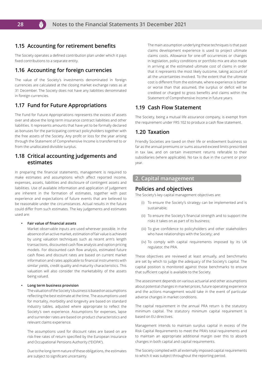### **1.15 Accounting for retirement benefits**

The Society operates a defined contribution plan under which it pays fixed contributions to a separate entity.

### **1.16 Accounting for foreign currencies**

The value of the Society's investments denominated in foreign currencies are calculated at the closing market exchange rates as at 31 December. The Society does not have any liabilities denominated in foreign currencies.

# **1.17 Fund for Future Appropriations**

The Fund for Future Appropriations represents the excess of assets over and above the long-term insurance contract liabilities and other liabilities. It represents amounts that have yet to be formally declared as bonuses for the participating contract policyholders together with the free assets of the Society. Any profit or loss for the year arising through the Statement of Comprehensive Income is transferred to or from the unallocated divisible surplus.

#### **1.18 Critical accounting judgements and estimates**

In preparing the financial statements, management is required to make estimates and assumptions which affect reported income, expenses, assets, liabilities and disclosure of contingent assets and liabilities. Use of available information and application of judgement are inherent in the formation of estimates, together with past experience and expectations of future events that are believed to be reasonable under the circumstances. Actual results in the future could differ from such estimates. The key judgements and estimates used are:

#### **• Fair value of financial assets**

Market observable inputs are used wherever possible. In the absence of an active market, estimation of fair value is achieved by using valuation techniques such as recent arm's length transactions, discounted cash flow analysis and option pricing models. For discounted cash flow analysis, estimated future cash flows and discount rates are based on current market information and rates applicable to financial instruments with similar yields, credit quality and maturity characteristics. This valuation will also consider the marketability of the assets being valued.

#### **• Long term business provision**

The valuation of the Society's business is based on assumptions reflecting the best estimate at the time. The assumptions used for mortality, morbidity and longevity are based on standard industry tables, adjusted where appropriate to reflect the Society's own experience. Assumptions for expenses, lapse and surrender rates are based on product characteristics and relevant claims experience.

The assumptions used for discount rates are based on are risk-free rates of return specified by the European Insurance and Occupational Pensions Authority ("EIOPA").

Due to the long-term nature of these obligations, the estimates are subject to significant uncertainty.

The main assumption underlying these techniques is that past claims development experience is used to project ultimate claims costs. Allowance for one-off occurrences or changes in legislation, policy conditions or portfolio mix are also made in arriving at the estimated ultimate cost of claims in order that it represents the most likely outcome, taking account of all the uncertainties involved. To the extent that the ultimate cost is different from the estimate, where experience is better or worse than that assumed, the surplus or deficit will be credited or charged to gross benefits and claims within the Statement of Comprehensive Income in future years.

#### **1.19 Cash Flow Statement**

The Society, being a mutual life assurance company, is exempt from the requirement under FRS 102 to produce a cash flow statement.

#### **1.20 Taxation**

Friendly Societies are taxed on their life or endowment business so far as the annual premiums or sums assured exceed limits prescribed in tax law, and on certain investment returns referable to their subsidiaries (where applicable). No tax is due in the current or prior year.

#### **2. Capital management**

#### **Policies and objectives**

The Society's key capital management objectives are:

- (i) To ensure the Society's strategy can be implemented and is sustainable;
- (ii) To ensure the Society's financial strength and to support the risks it takes on as part of its business;
- (iii) To give confidence to policyholders and other stakeholders who have relationships with the Society; and
- (iv) To comply with capital requirements imposed by its UK regulator, the PRA.

These objectives are reviewed at least annually, and benchmarks are set by which to judge the adequacy of the Society's capital. The capital position is monitored against those benchmarks to ensure that sufficient capital is available to the Society.

The assessment depends on various actuarial and other assumptions about potential changes in market prices, future operating experience and the actions management would take in the event of particular adverse changes in market conditions.

The capital requirement in the annual PRA return is the statutory minimum capital. The statutory minimum capital requirement is based on EU directives.

Management intends to maintain surplus capital in excess of the Risk Capital Requirements to meet the PRA's total requirements and to maintain an appropriate additional margin over this to absorb changes in both capital and capital requirements.

The Society complied with all externally imposed capital requirements to which it was subject throughout the reporting period.

M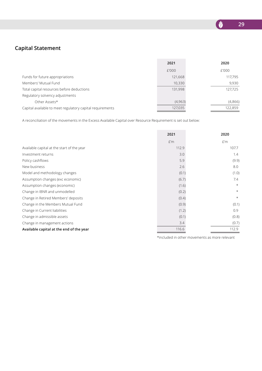

# **Capital Statement**

|                                                           | 2021    | 2020    |
|-----------------------------------------------------------|---------|---------|
|                                                           | £'000   | £'000   |
| Funds for future appropriations                           | 121,668 | 117,795 |
| Members' Mutual Fund                                      | 10,330  | 9,930   |
| Total capital resources before deductions                 | 131,998 | 127,725 |
| Regulatory solvency adjustments                           |         |         |
| Other Assets*                                             | (4,963) | (4,866) |
| Capital available to meet regulatory capital requirements | 127,035 | 122,859 |

A reconciliation of the movements in the Excess Available Capital over Resource Requirement is set out below:

|                                            | 2021  | 2020    |
|--------------------------------------------|-------|---------|
|                                            | f'm   | £'m     |
| Available capital at the start of the year | 112.9 | 107.7   |
| Investment returns                         | 3.0   | 1.4     |
| Policy cashflows                           | 5.9   | (9.9)   |
| New business                               | 2.6   | 8.0     |
| Model and methodology changes              | (0.1) | (1.0)   |
| Assumption changes (exc economic)          | (6.7) | 7.4     |
| Assumption changes (economic)              | (1.6) | $\star$ |
| Change in IBNR and unmodelled              | (0.2) | $\star$ |
| Change in Retired Members' deposits        | (0.4) | $\star$ |
| Change in the Members Mutual Fund          | (0.9) | (0.1)   |
| Change in Current liabilities              | (1.2) | 0.9     |
| Change in admissible assets                | (0.1) | (0.8)   |
| Change in management actions               | 3.4   | (0.7)   |
| Available capital at the end of the year   | 116.6 | 112.9   |

\*included in other movements as more relevant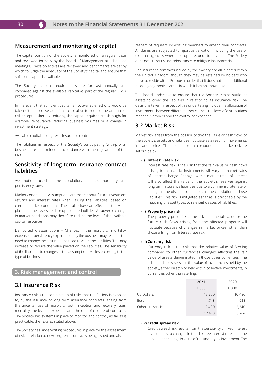#### **Measurement and monitoring of capital**

The capital position of the Society is monitored on a regular basis and reviewed formally by the Board of Management at scheduled meetings. These objectives are reviewed and benchmarks are set by which to judge the adequacy of the Society's capital and ensure that sufficient capital is available.

The Society's capital requirements are forecast annually and compared against the available capital as part of the regular ORSA procedures.

In the event that sufficient capital is not available, actions would be taken either to raise additional capital or to reduce the amount of risk accepted thereby reducing the capital requirement through, for example, reinsurance, reducing business volumes or a change in investment strategy.

Available capital – Long-term insurance contracts

The liabilities in respect of the Society's participating (with-profits) business are determined in accordance with the regulations of the PRA.

#### **Sensitivity of long-term insurance contract liabilities**

Assumptions used in the calculation, such as morbidity and persistency rates.

Market conditions – Assumptions are made about future investment returns and interest rates when valuing the liabilities, based on current market conditions. These also have an effect on the value placed on the assets held to support the liabilities. An adverse change in market conditions may therefore reduce the level of the available capital resources.

Demographic assumptions – Changes in the morbidity, mortality, expense or persistency experienced by the business may result in the need to change the assumptions used to value the liabilities. This may increase or reduce the value placed on the liabilities. The sensitivity of the liabilities to changes in the assumptions varies according to the type of business.

#### **3. Risk management and control**

#### **3.1 Insurance Risk**

Insurance risk is the combination of risks that the Society is exposed to, by the issuance of long term insurance contracts, arising from the uncertainties of morbidity, both inception and recovery rates, mortality, the level of expenses and the rate of closure of contracts. The Society has systems in place to monitor and control, as far as is practicable, the risks as stated above.

The Society has underwriting procedures in place for the assessment of risk in relation to new long term contracts being issued and also in respect of requests by existing members to amend their contracts. All claims are subjected to rigorous validation, including the use of external agencies where appropriate, prior to payment. The Society does not currently use reinsurance to mitigate insurance risk.

The insurance contracts issued by the Society are all initiated within the United Kingdom, though they may be retained by holders who move to reside within Europe, in order that it does not incur additional risks in geographical areas in which it has no knowledge.

The Board undertake to ensure that the Society retains sufficient assets to cover the liabilities in relation to its insurance risk. The decisions taken in respect of this undertaking include the allocation of investments between different asset classes, the level of distributions made to Members and the control of expenses.

### **3.2 Market Risk**

Market risk arises from the possibility that the value or cash flows of the Society's assets and liabilities fluctuate as a result of movements in market prices. The most important components of market risk are set out below:

#### **(i) Interest Rate Risk**

Interest rate risk is the risk that the fair value or cash flows arising from financial instruments will vary as market rates of interest change. Changes within market rates of interest will also affect the value of the Society's reserves against long term insurance liabilities due to a commensurate rate of change in the discount rates used in the calculation of those liabilities. This risk is mitigated as far as is practicable by the matching of asset types to relevant classes of liabilities.

#### **(ii) Property price risk**

The property price risk is the risk that the fair value or the future cash flows arising from the affected property will fluctuate because of changes in market prices, other than those arising from interest rate risk.

#### **(iii) Currency risk**

Currency risk is the risk that the relative value of Sterling compared to other currencies changes affecting the fair value of assets denominated in those other currencies. The schedule below sets out the value of investments held by the society, either directly or held within collective investments, in currencies other than sterling.

|                   | 2021   | 2020   |
|-------------------|--------|--------|
|                   | £'000  | £'000  |
| <b>US Dollars</b> | 13,250 | 10,486 |
| Euro              | 1,748  | 938    |
| Other currencies  | 2,480  | 2,340  |
|                   | 17,478 | 13,764 |

#### **(iv) Credit spread risk**

Credit spread risk results from the sensitivity of fixed interest investments to changes in the risk-free interest rates and the subsequent change in value of the underlying investment. The

M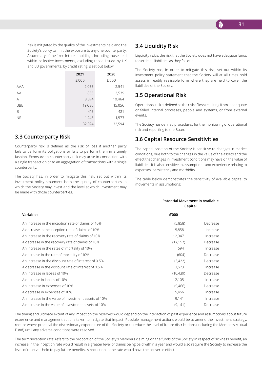risk is mitigated by the quality of the investments held and the Society's policy to limit the exposure to any one counterparty. A summary of the fixed interest holdings, including those held within collective investments, excluding those issued by UK and EU governments, by credit rating is set out below.

|            | 2021   | 2020   |
|------------|--------|--------|
|            | £'000  | £'000  |
| <b>AAA</b> | 2,055  | 2,541  |
| AA         | 855    | 2,539  |
| Α          | 8,374  | 10,464 |
| <b>BBB</b> | 19.080 | 15,056 |
| B          | 415    | 421    |
| <b>NR</b>  | 1,245  | 1,573  |
|            | 32,024 | 32,594 |

#### **3.3 Counterparty Risk**

Counterparty risk is defined as the risk of loss if another party fails to perform its obligations or fails to perform them in a timely fashion. Exposure to counterparty risk may arise in connection with a single transaction or to an aggregation of transactions with a single counterparty.

The Society has, in order to mitigate this risk, set out within its investment policy statement both the quality of counterparties in which the Society may invest and the level at which investment may be made with those counterparties.

# **3.4 Liquidity Risk**

Liquidity risk is the risk that the Society does not have adequate funds to settle its liabilities as they fall due.

The Society has, in order to mitigate this risk, set out within its investment policy statement that the Society will at all times hold assets in readily realisable form where they are held to cover the liabilities of the Society.

### **3.5 Operational Risk**

Operational risk is defined as the risk of loss resulting from inadequate or failed internal processes, people and systems, or from external events.

The Society has defined procedures for the monitoring of operational risk and reporting to the Board.

#### **3.6 Capital Resource Sensitivities**

The capital position of the Society is sensitive to changes in market conditions, due both to the changes in the value of the assets and the effect that changes in investment conditions may have on the value of liabilities. It is also sensitive to assumptions and experience relating to expenses, persistency and morbidity.

The table below demonstrates the sensitivity of available capital to movements in assumptions:

**Potential Movement in Available** 

|                                                      |           | Capital  |  |  |
|------------------------------------------------------|-----------|----------|--|--|
| Variables                                            | £'000     |          |  |  |
| An increase in the inception rate of claims of 10%   | (5,858)   | Decrease |  |  |
| A decrease in the inception rate of claims of 10%    | 5,858     | Increase |  |  |
| An increase in the recovery rate of claims of 10%    | 12,347    | Increase |  |  |
| A decrease in the recovery rate of claims of 10%     | (17, 157) | Decrease |  |  |
| An increase in the rates of mortality of 10%         | 594       | Increase |  |  |
| A decrease in the rate of mortality of 10%           | (604)     | Decrease |  |  |
| An increase in the discount rate of interest of 0.5% | (3,422)   | Decrease |  |  |
| A decrease in the discount rate of interest of 0.5%  | 3,673     | Increase |  |  |
| An increase in lapses of 10%                         | (10, 439) | Decrease |  |  |
| A decrease in lapses of 10%                          | 12,105    | Increase |  |  |
| An increase in expenses of 10%                       | (5,466)   | Decrease |  |  |
| A decrease in expenses of 10%                        | 5,466     | Increase |  |  |
| An increase in the value of investment assets of 10% | 9,141     | Increase |  |  |
| A decrease in the value of investment assets of 10%  | (9, 141)  | Decrease |  |  |

The timing and ultimate extent of any impact on the reserves would depend on the interaction of past experience and assumptions about future experience and management actions taken to mitigate that impact. Possible management actions would be to amend the investment strategy, reduce where practical the discretionary expenditure of the Society or to reduce the level of future distributions (including the Members Mutual Fund) until any adverse conditions were resolved.

The term 'inception rate' refers to the proportion of the Society's Members claiming on the funds of the Society in respect of sickness benefit, an increase in the inception rate would result in a greater level of claims being paid within a year and would also require the Society to increase the level of reserves held to pay future benefits. A reduction in the rate would have the converse effect.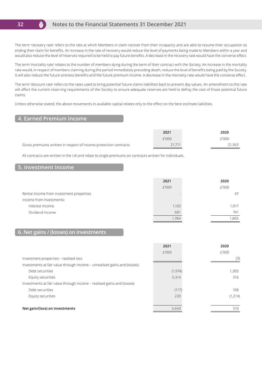

#### **Notes to the Financial Statements 31 December 2021**

The term 'recovery rate' refers to the rate at which Members in claim recover from their incapacity and are able to resume their occupation so ending their claim for benefits. An increase in the rate of recovery would reduce the level of payments being made to Members within a year and would also reduce the level of reserves required to be held to pay future benefits. A decrease in the recovery rate would have the converse effect.

The term 'mortality rate' relates to the number of members dying during the term of their contract with the Society. An increase in the mortality rate would, in respect of members claiming during the period immediately preceding death, reduce the level of benefits being paid by the Society. It will also reduce the future sickness benefits and the future premium income. A decrease in the mortality rate would have the converse effect.

The term 'discount rate' refers to the rates used to bring potential future claims liabilities back to present day values. An amendment to this rate will affect the current reserving requirements of the Society to ensure adequate reserves are held to defray the cost of those potential future claims.

Unless otherwise stated, the above movements in available capital relates only to the effect on the best estimate liabilities.

### **4. Earned Premium Income**

|                                                                  | 2021   | 2020   |
|------------------------------------------------------------------|--------|--------|
|                                                                  | £'000  | £'000  |
| Gross premiums written in respect of income protection contracts | 21.711 | 21,363 |

All contracts are written in the UK and relate to single premiums on contracts written for individuals.

#### **5. Investment Income**

|                                          | 2021  | 2020  |
|------------------------------------------|-------|-------|
|                                          | £'000 | £'000 |
| Rental income from investment properties |       | 47    |
| Income from investments:                 |       |       |
| Interest income                          | 1,103 | 1.017 |
| Dividend income                          | 681   | 741   |
|                                          |       | .805  |

### **6. Net gains / (losses) on investments**

|                                                                          | 2021     | 2020     |
|--------------------------------------------------------------------------|----------|----------|
|                                                                          | £'000    | £'000    |
| Investment properties - realised loss                                    |          | (3)      |
| Investments at fair value through income – unrealised gains and (losses) |          |          |
| Debt securities                                                          | (1, 974) | 1,303    |
| Equity securities                                                        | 5,314    | 316      |
| Investments at fair value through income – realised gains and (losses)   |          |          |
| Debt securities                                                          | (117)    | 108      |
| Equity securities                                                        | 220      | (1, 214) |
|                                                                          |          |          |
| Net gain/(loss) on investments                                           | 3,443    | 510      |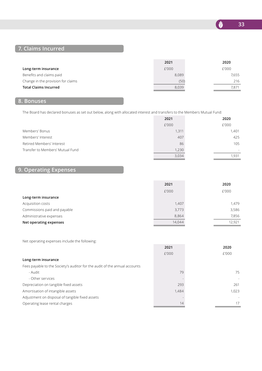**33**

N

# **7. Claims Incurred**

|                                    | 2021  | 2020  |
|------------------------------------|-------|-------|
| Long-term insurance                | £'000 | £'000 |
| Benefits and claims paid           | 8,089 | 7.655 |
| Change in the provision for claims | (50)  | 216   |
| <b>Total Claims Incurred</b>       | 8,039 | 7.871 |
|                                    |       |       |

# **8. Bonuses**

The Board has declared bonuses as set out below, along with allocated interest and transfers to the Members Mutual Fund:

|                                  | 2021  | 2020   |
|----------------------------------|-------|--------|
|                                  | £'000 | £'000  |
| Members' Bonus                   | 1,311 | 1,401  |
| Members' Interest                | 407   | 425    |
| Retired Members' Interest        | 86    | 105    |
| Transfer to Members' Mutual Fund | 1,230 | $\sim$ |
|                                  | 3,034 | 1.931  |

# **9. Operating Expenses**

|                              | 2021   | 2020   |
|------------------------------|--------|--------|
|                              | £'000  | £'000  |
| Long-term insurance          |        |        |
| Acquisition costs            | 1,407  | 1.479  |
| Commissions paid and payable | 3,773  | 3,586  |
| Administrative expenses      | 8,864  | 7,856  |
| Net operating expenses       | 14,044 | 12,921 |

Net operating expenses include the following:

|                                                                            | 2021  | 2020  |
|----------------------------------------------------------------------------|-------|-------|
|                                                                            | £'000 | £'000 |
| Long-term insurance                                                        |       |       |
| Fees payable to the Society's auditor for the audit of the annual accounts |       |       |
| - Audit                                                                    | 79    | 75    |
| - Other services                                                           |       |       |
| Depreciation on tangible fixed assets                                      | 293   | 261   |
| Amortisation of intangible assets                                          | 1,484 | 1,023 |
| Adjustment on disposal of tangible fixed assets                            |       |       |
| Operating lease rental charges                                             | 14    | 17    |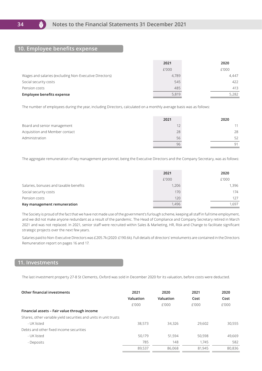$\bm{\nabla}$ 

#### **10. Employee benefits expense**

|                                                        | 2021  | 2020  |
|--------------------------------------------------------|-------|-------|
|                                                        | £'000 | £'000 |
| Wages and salaries (excluding Non-Executive Directors) | 4.789 | 4.447 |
| Social security costs                                  | 545   | 422   |
| Pension costs                                          | 485   | 413   |
| Employee benefits expense                              | 5,819 | 5,282 |

The number of employees during the year, including Directors, calculated on a monthly average basis was as follows:

|                                | 2021 | 2020 |
|--------------------------------|------|------|
| Board and senior management    |      |      |
| Acquisition and Member contact | 28   | 28   |
| Administration                 | 56   | 52   |
|                                | 96   | 91   |

The aggregate remuneration of key management personnel, being the Executive Directors and the Company Secretary, was as follows:

|                                        | 2021  | 2020  |
|----------------------------------------|-------|-------|
|                                        | £'000 | £'000 |
| Salaries, bonuses and taxable benefits | 1,206 | 1,396 |
| Social security costs                  | 170   | 174   |
| Pension costs                          | 120   | 127   |
| Key management remuneration            | 1,496 | .697  |

The Society is proud of the fact that we have not made use of the government's furlough scheme, keeping all staff in full time employment, and we did not make anyone redundant as a result of the pandemic. The Head of Compliance and Company Secretary retired in March 2021 and was not replaced. In 2021, senior staff were recruited within Sales & Marketing, HR, Risk and Change to facilitate significant strategic projects over the next few years.

Salaries paid to Non-Executive Directors was £205.7k (2020: £190.6k). Full details of directors' emoluments are contained in the Directors Remuneration report on pages 16 and 17.

#### **11. Investments**

The last investment property 27-8 St Clements, Oxford was sold in December 2020 for its valuation, before costs were deducted.

| Other financial investments                                      | 2021      | 2020      | 2021   | 2020   |
|------------------------------------------------------------------|-----------|-----------|--------|--------|
|                                                                  | Valuation | Valuation | Cost   | Cost   |
|                                                                  | f'000     | f'000     | f'000  | f'000  |
| Financial assets - Fair value through income                     |           |           |        |        |
| Shares, other variable yield securities and units in unit trusts |           |           |        |        |
| - UK listed                                                      | 38,573    | 34,326    | 29,602 | 30.555 |
| Debts and other fixed income securities                          |           |           |        |        |
| - UK listed                                                      | 50.179    | 51.594    | 50,598 | 49,669 |
| - Deposits                                                       | 785       | 148       | 1.745  | 582    |
|                                                                  | 89.537    | 86.068    | 81.945 | 80,836 |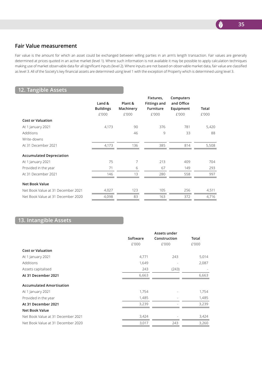

# **Fair Value measurement**

Fair value is the amount for which an asset could be exchanged between willing parties in an arm's length transaction. Fair values are generally determined at prices quoted in an active market (level 1). Where such information is not available it may be possible to apply calculation techniques making use of market observable data for all significant inputs (level 2). Where inputs are not based on observable market data, fair value are classified as level 3. All of the Society's key financial assets are determined using level 1 with the exception of Property which is determined using level 3.

# **12. Tangible Assets**

|                  |           | Fixtures,           | Computers  |       |
|------------------|-----------|---------------------|------------|-------|
| Land &           | Plant &   | <b>Fittings and</b> | and Office |       |
| <b>Buildings</b> | Machinery | Furniture           | Equipment  | Total |
| £'000            | £'000     | £'000               | £'000      | £'000 |
|                  |           |                     |            |       |
| 4,173            | 90        | 376                 | 781        | 5,420 |
|                  | 46        | 9                   | 33         | 88    |
|                  |           |                     |            |       |
| 4,173            | 136       | 385                 | 814        | 5,508 |
|                  |           |                     |            |       |
| 75               | 7         | 213                 | 409        | 704   |
| 71               | 6         | 67                  | 149        | 293   |
| 146              | 13        | 280                 | 558        | 997   |
|                  |           |                     |            |       |
| 4,027            | 123       | 105                 | 256        | 4,511 |
| 4,098            | 83        | 163                 | 372        | 4,716 |
|                  |           |                     |            |       |

# **13. Intangible Assets**

|          | Assets under |       |
|----------|--------------|-------|
| Software | Construction | Total |
| £'000    | £'000        | £'000 |
|          |              |       |
| 4,771    | 243          | 5,014 |
| 1,649    |              | 2,087 |
| 243      | (243)        |       |
| 6,663    |              | 6,663 |
|          |              |       |
| 1,754    |              | 1,754 |
| 1,485    |              | 1,485 |
| 3,239    |              | 3,239 |
|          |              |       |
| 3,424    |              | 3,424 |
| 3,017    | 243          | 3,260 |
|          |              |       |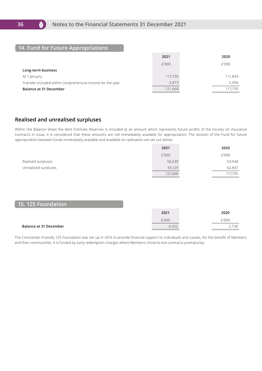M

# **14. Fund for Future Appropriations**

|                                                            | 2021    | 2020    |
|------------------------------------------------------------|---------|---------|
|                                                            | £'000   | £'000   |
| Long-term business                                         |         |         |
| At 1 January                                               | 117.795 | 111,849 |
| Transfer included within comprehensive income for the year | 3,873   | 5,496   |
| <b>Balance at 31 December</b>                              | 121,668 | 117.795 |

# **Realised and unrealised surpluses**

Within the Balance Sheet the Best Estimate Reserves is included at an amount which represents future profits of the Society on insurance contracts in issue, it is considered that these amounts are not immediately available for appropriation. The division of the Fund for future appropriation between funds immediately available and available on realisation are set out below:

|                      | 2021    | 2020    |
|----------------------|---------|---------|
|                      | £'000   | £'000   |
| Realised surpluses   | 56,539  | 54,948  |
| Unrealised surpluses | 65,129  | 62,847  |
|                      | 121,668 | 117,795 |

### **15. 125 Foundation**

|                               | 2021         | 2020  |
|-------------------------------|--------------|-------|
|                               | £'000        | £'000 |
| <b>Balance at 31 December</b> | つにつ<br>4,35z | 3,738 |

The Cirencester Friendly 125 Foundation was set up in 2016 to provide financial support to individuals and causes, for the benefit of Members and their communities. It is funded by early redemption charges where Members chose to exit contracts prematurely.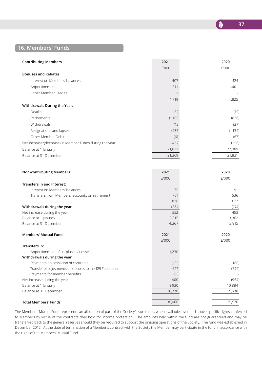

**N** 

# **16. Members' Funds**

| <b>Contributing Members</b>                                 | 2021    | 2020     |
|-------------------------------------------------------------|---------|----------|
|                                                             | £'000   | £'000    |
| <b>Bonuses and Rebates:</b>                                 |         |          |
| - Interest on Members' balances                             | 407     | 424      |
| - Apportionment                                             | 1,311   | 1,401    |
| - Other Member Credits                                      | 1       |          |
|                                                             | 1,719   | 1,825    |
| Withdrawals During the Year:                                |         |          |
| - Deaths                                                    | (52)    | (19)     |
| - Retirements                                               | (1,100) | (836)    |
|                                                             |         |          |
| - Withdrawals                                               | (12)    | (27)     |
| - Resignations and lapses                                   | (956)   | (1, 134) |
| - Other Member Debits                                       | (61)    | (67)     |
| Net increase/(decrease) in Member Funds during the year:    | (462)   | (258)    |
| Balance at 1 January                                        | 21,831  | 22,089   |
| Balance at 31 December                                      | 21,369  | 21,831   |
|                                                             |         |          |
| <b>Non-contributing Members</b>                             | 2021    | 2020     |
|                                                             | £'000   | £'000    |
| Transfers in and Interest:                                  |         |          |
| - Interest on Members' balances                             | 75      | 91       |
| - Transfers from Members' accounts on retirement            | 761     | 536      |
|                                                             | 836     | 627      |
| Withdrawals during the year                                 | (284)   | (174)    |
| Net increase during the year                                | 552     | 453      |
| Balance at 1 January                                        | 3,815   | 3,362    |
| Balance at 31 December                                      | 4,367   | 3,815    |
| <b>Members' Mutual Fund</b>                                 | 2021    | 2020     |
|                                                             | £'000   | £'000    |
| Transfers in:                                               |         |          |
| - Apportionment of surpluses / (losses)                     | 1,230   |          |
| Withdrawals during the year                                 |         |          |
| - Payments on cessation of contracts                        | (135)   | (180)    |
| - Transfer of adjustments on closures to the 125 Foundation | (627)   | (774)    |
| - Payments for member benefits                              | (68)    |          |
| Net increase during the year                                | 400     | (954)    |
| Balance at 1 January                                        | 9,930   | 10,884   |
| Balance at 31 December                                      | 10,330  | 9,930    |

#### **Total Members' Funds** 35,576

The Members' Mutual Fund represents an allocation of part of the Society's surpluses, when available, over and above specific rights conferred to Members by virtue of the contracts they hold for income protection. The amounts held within the fund are not guaranteed and may be transferred back to the general reserves should they be required to support the ongoing operations of the Society. The fund was established in December 2012. At the date of termination of a Member's contract with the Society the Member may participate in the fund in accordance with the rules of the Members' Mutual Fund.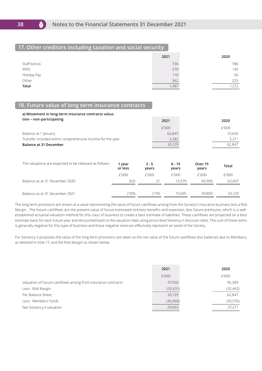

M

# **17. Other creditors including taxation and social security**

|              | 2021  | 2020 |
|--------------|-------|------|
| Staff bonus  | 736   | 786  |
| PAYE         | 279   | 145  |
| Holiday Pay  | 110   | 56   |
| Other        | 362   | 225  |
| <b>Total</b> | 1,487 | ,212 |

# **18. Future value of long term insurance contracts**

| a) Movement in long-term insurance contracts valua-        |        |        |
|------------------------------------------------------------|--------|--------|
| tion - non-participating                                   | 2021   | 2020   |
|                                                            | £'000  | £'000  |
| Balance at 1 January                                       | 62.847 | 57,636 |
| Transfer included within comprehensive income for the year | 2,282  | 5,211  |
| <b>Balance at 31 December</b>                              | 65.129 | 62.847 |

| The valuations are expected to be released as follows: | 1 year<br>or less | $2 - 5$<br>years | 6 - 15<br>years | Over 15<br>years | <b>Total</b> |
|--------------------------------------------------------|-------------------|------------------|-----------------|------------------|--------------|
|                                                        | f'000             | f'000            | f'000           | f'000            | £'000        |
| Balance as at 31 December 2020                         | (62)              | 21               | 13.579          | 49.309           | 62,847       |
|                                                        |                   |                  |                 |                  |              |
| Balance as at 31 December 2021                         | (100)             | (176)            | 15,605          | 49,800           | 65.129       |

The long term provisions are shown at a value representing the value of future cashflows arising from the Society's insurance business less a Risk Margin. The future cashflows are the present value of future estimated sickness benefits and expenses, less future premiums, which is a wellestablished actuarial valuation method for this class of business to create a best estimate of liabilities. These cashflows are projected on a best estimate basis for each future year and discounted back to the valuation date using prescribed Solvency II discount rates. The sum of these items is generally negative for this type of business and these negative reserves effectively represent an asset of the Society.

For Solvency II purposes the value of the long term provisions are taken as the net value of the future cashflows less balances due to Members, as detailed in note 17, and the Risk Margin as shown below.

|                                                                | 2021      | 2020      |
|----------------------------------------------------------------|-----------|-----------|
|                                                                | £'000     | £'000     |
| Valuation of future cashflows arising from insurance contracts | 97,760    | 95,309    |
| Less: Risk Margin                                              | (32, 631) | (32, 462) |
| Per Balance Sheet                                              | 65,129    | 62,847    |
| Less: Members' funds                                           | (36,066)  | (35,576)  |
| Net Solvency II valuation                                      | 29,063    | 27,271    |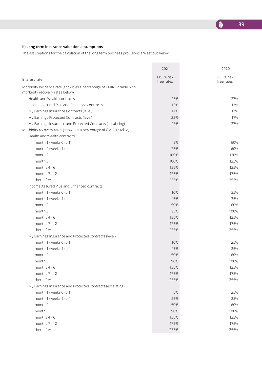#### **b) Long term insurance valuation assumptions**

The assumptions for the calculation of the long term business provisions are set out below:

|                                                                                                          | 2021                     | 2020                     |
|----------------------------------------------------------------------------------------------------------|--------------------------|--------------------------|
| Interest rate                                                                                            | EIOPA risk<br>free rates | EIOPA risk<br>free rates |
| Morbidity Incidence rate (shown as a percentage of CMIR 12 table with<br>morbidity recovery rates below) |                          |                          |
| Health and Wealth contracts                                                                              | 25%                      | 27%                      |
| Income Assured Plus and Enhanced contracts                                                               | 13%                      | 13%                      |
| My Earnings Insurance Contracts (level)                                                                  | 17%                      | 17%                      |
| My Earnings Protected Contracts (level)                                                                  | 22%                      | 17%                      |
| My Earnings Insurance and Protected Contracts (escalating)                                               | 26%                      | 27%                      |
| Morbidity recovery rates (shown as a percentage of CMIR 12 table)                                        |                          |                          |
| Health and Wealth contracts                                                                              |                          |                          |
| month 1 (weeks 0 to 1)                                                                                   | 5%                       | 60%                      |
| month 2 (weeks 1 to 4)                                                                                   | 75%                      | 60%                      |
| month 2                                                                                                  | 100%                     | 120%                     |
| month 3                                                                                                  | 100%                     | 125%                     |
| months $4 - 6$                                                                                           | 135%                     | 135%                     |
| months $7 - 12$                                                                                          | 175%                     | 175%                     |
| thereafter                                                                                               | 255%                     | 255%                     |
| Income Assured Plus and Enhanced contracts                                                               |                          |                          |
| month 1 (weeks 0 to 1)                                                                                   | 10%                      | 35%                      |
| month 1 (weeks 1 to 4)                                                                                   | 45%                      | 35%                      |
| month 2                                                                                                  | 50%                      | 60%                      |
| month 3                                                                                                  | 95%                      | 100%                     |
| months 4 - 6                                                                                             | 135%                     | 135%                     |
| months 7 - 12                                                                                            | 175%                     | 175%                     |
| thereafter                                                                                               | 255%                     | 255%                     |
| My Earnings Insurance and Protected contracts (level)                                                    |                          |                          |
| month 1 (weeks 0 to 1)                                                                                   | 10%                      | 25%                      |
| month 1 (weeks 1 to 4)                                                                                   | 45%                      | 25%                      |
| month 2                                                                                                  | 50%                      | 60%                      |
| month 3                                                                                                  | 90%                      | 100%                     |
| months $4 - 6$                                                                                           | 135%                     | 135%                     |
| months 7 - 12                                                                                            | 175%                     | 175%                     |
| thereafter                                                                                               | 255%                     | 255%                     |
| My Earnings Insurance and Protected contracts (escalating)                                               |                          |                          |
| month 1 (weeks 0 to 1)                                                                                   | 5%                       | 25%                      |
| month 1 (weeks 1 to 4)                                                                                   | 25%                      | 25%                      |
| month 2                                                                                                  | 50%                      | 60%                      |
| month 3                                                                                                  | 90%                      | 100%                     |
| months 4 - 6                                                                                             | 135%                     | 135%                     |
| months 7 - 12                                                                                            | 175%                     | 175%                     |
| thereafter                                                                                               | 255%                     | 255%                     |

E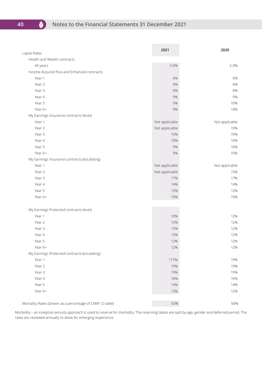**40**

V

| Lapse Rates                                              | 2021           | 2020           |
|----------------------------------------------------------|----------------|----------------|
| Health and Wealth contracts                              |                |                |
| All years                                                | 5.0%           | 5.0%           |
| Income Assured Plus and Enhanced contracts               |                |                |
| Year 1                                                   | 6%             | 6%             |
| Year 2                                                   | 6%             | 6%             |
| Year 3                                                   | 8%             | 8%             |
| Year 4                                                   | 9%             | 9%             |
| Year 5                                                   | 9%             | 10%            |
| Year 6+                                                  | 9%             | 10%            |
| My Earnings Insurance contracts (level)                  |                |                |
| Year 1                                                   | Not applicable | Not applicable |
| Year 2                                                   | Not applicable | 10%            |
| Year 3                                                   | 10%            | 10%            |
| Year 4                                                   | 10%            | 10%            |
| Year 5                                                   | 9%             | 10%            |
| Year 6+                                                  | 9%             | 10%            |
| My Earnings Insurance contracts (escalating)             |                |                |
| Year 1                                                   | Not applicable | Not applicable |
| Year 2                                                   | Not applicable | 15%            |
| Year 3                                                   | 17%            | 17%            |
| Year 4                                                   | 14%            | 14%            |
| Year 5                                                   | 12%            | 12%            |
| Year 6+                                                  | 10%            | 10%            |
| My Earnings Protected contracts (level)                  |                |                |
| Year 1                                                   | 10%            | 12%            |
| Year 2                                                   | 12%            | 12%            |
| Year 3                                                   | 12%            | 12%            |
| Year 4                                                   | 12%            | 12%            |
| Year 5                                                   | 12%            | 12%            |
| Year 6+                                                  | 12%            | 12%            |
| My Earnings Protected contracts (escalating)             |                |                |
| Year 1                                                   | 17.5%          | 19%            |
| Year 2                                                   | 19%            | 19%            |
| Year 3                                                   | 19%            | 19%            |
| Year 4                                                   | 16%            | 16%            |
| Year 5                                                   | 14%            | 14%            |
| Year 6+                                                  | 12%            | 12%            |
| Mortality Rates (shown as a percentage of CMIR 12 table) | 50%            | 50%            |

Morbidity – an inception annuity approach is used to reserve for morbidity. The reserving tables are split by age, gender and deferred period. The rates are reviewed annually to allow for emerging experience.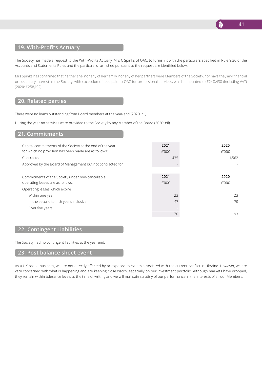

# **19. With-Profits Actuary**

The Society has made a request to the With-Profits Actuary, Mrs C Spinks of OAC, to furnish it with the particulars specified in Rule 9.36 of the Accounts and Statements Rules and the particulars furnished pursuant to the request are identified below:

Mrs Spinks has confirmed that neither she, nor any of her family, nor any of her partners were Members of the Society, nor have they any financial or pecuniary interest in the Society, with exception of fees paid to OAC for professional services, which amounted to £248,438 (including VAT) (2020: £258,192).

### **20. Related parties**

There were no loans outstanding from Board members at the year-end (2020: nil).

During the year no services were provided to the Society by any Member of the Board (2020: nil).

#### **21. Commitments**

| Capital commitments of the Society at the end of the year<br>for which no provision has been made are as follows:<br>Contracted | 2021<br>f'000<br>435 | 2020<br>£'000<br>1.562 |
|---------------------------------------------------------------------------------------------------------------------------------|----------------------|------------------------|
| Approved by the Board of Management but not contracted for                                                                      |                      |                        |
| Commitments of the Society under non-cancellable                                                                                | 2021                 | 2020                   |
| operating leases are as follows:                                                                                                | f'000                | £'000                  |
| Operating leases which expire                                                                                                   |                      |                        |
| Within one year                                                                                                                 | 23                   | 23                     |
| In the second to fifth years inclusive                                                                                          | 47                   | 70                     |
| Over five years                                                                                                                 |                      |                        |
|                                                                                                                                 | 70                   | 93                     |

### **22. Contingent Liabilities**

The Society had no contingent liabilities at the year end.

#### **23. Post balance sheet event**

As a UK based business, we are not directly affected by or exposed to events associated with the current conflict in Ukraine. However, we are very concerned with what is happening and are keeping close watch, especially on our investment portfolio. Although markets have dropped, they remain within tolerance levels at the time of writing and we will maintain scrutiny of our performance in the interests of all our Members.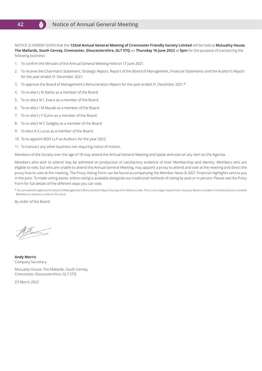#### M **Notice of Annual General Meeting42**

NOTICE IS HEREBY GIVEN that the **132nd Annual General Meeting of Cirencester Friendly Society Limited** will be held at **Mutuality House, The Mallards, South Cerney, Cirencester, Gloucestershire, GL7 5TQ** on **Thursday 16 June 2022** at **5pm** for the purpose of transacting the following business:-

- 1. To confirm the Minutes of the Annual General Meeting held on 17 June 2021.
- 2. To receive the Chairman's Statement, Strategic Report, Report of the Board of Management, Financial Statements and the Auditor's Report for the year ended 31 December 2021.
- 3. To approve the Board of Management's Remuneration Report for the year ended 31 December 2021.\*
- 4. To re-elect J W Banks as a member of the Board.
- 5. To re-elect M L Evans as a member of the Board.
- 6. To re-elect I M Maude as a member of the Board.
- 7. To re-elect | F Quinn as a member of the Board.
- 8. To re-elect M C Sedgley as a member of the Board.
- 9. To elect A S Lucas as a member of the Board.
- 10. To re-appoint BDO LLP as Auditors for the year 2022.
- 11. To transact any other business not requiring notice of motion.

Members of the Society over the age of 18 may attend the Annual General Meeting and speak and vote on any item on the Agenda.

Members who wish to attend may be admitted on production of satisfactory evidence of their Membership and identity. Members who are eligible to vote, but who are unable to attend the Annual General Meeting, may appoint a proxy to attend and vote at the meeting and direct the proxy how to vote at the meeting. The Proxy Voting Form can be found accompanying the Member News & 2021 Financial Highlights sent to you in the post. To make voting easier, online voting is available alongside our traditional methods of voting by post or in person. Please see the Proxy Form for full details of the different ways you can vote.

\* You are asked to approve the Board of Management's Remuneration Report by way of an Advisory vote. This is not a legal requirement, but your Board considers it is best practice to enable Members to express a view on this issue.

By order of the Board

Alm

**Andy Morris** Company Secretary

Mutuality House, The Mallards, South Cerney, Cirencester, Gloucestershire, GL7 5TQ

23 March 2022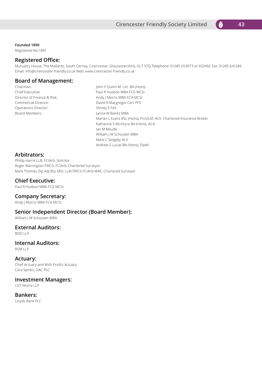

**Founded 1890**

Registered No.149F

#### **Registered Office:**

Mutuality House, The Mallards, South Cerney, Cirencester, Gloucestershire, GL7 5TQ Telephone: 01285 653073 or 652492 Fax: 01285 641246 Email: info@cirencester-friendly.co.uk Web: www.cirencester-friendly.co.uk

### **Board of Management:**

Operations Director: Shirley E Fell Board Members: Janice W Banks MBA

Chairman: John F Quinn M. Litt. BA (Hons) Chief Executive: Paul R Hudson MBA FCG MCSI Director of Finance & Risk: Andy J Morris MBA FCA MCSI Commercial Director: Commercial Director: David R Macgregor Cert PFS Marian L Evans BSc (Hons), FInstLM. ACII. Chartered Insurance Broker Katharine S McIntyre BA (Hons), ACA Ian M Maude William J M Schouten MBA Mark C Sedgley ACII Andrew S Lucas BA (Hons), DipM

#### **Arbitrators:**

Phillip Harris LLB, FCIArb, Solicitor Roger Warrington FRICS, FCIArb, Chartered Surveyor Mark Thomas Dip Adj BSc MSc LLM FRICS FCIArb MAE, Chartered Surveyor

#### **Chief Executive:**

Paul R Hudson MBA FCG MCSI

#### **Company Secretary:**

Andy J Morris MBA FCA MCSI

#### **Senior Independent Director (Board Member):**

William I M Schouten MBA

#### **External Auditors:**

BDO LLP

# **Internal Auditors:**

RSM LLP

#### **Actuary:**

Chief Actuary and With Profits Actuary Cara Spinks, OAC PLC

#### **Investment Managers:**

LGT Vestra LLP

# **Bankers:**

Lloyds Bank PLC